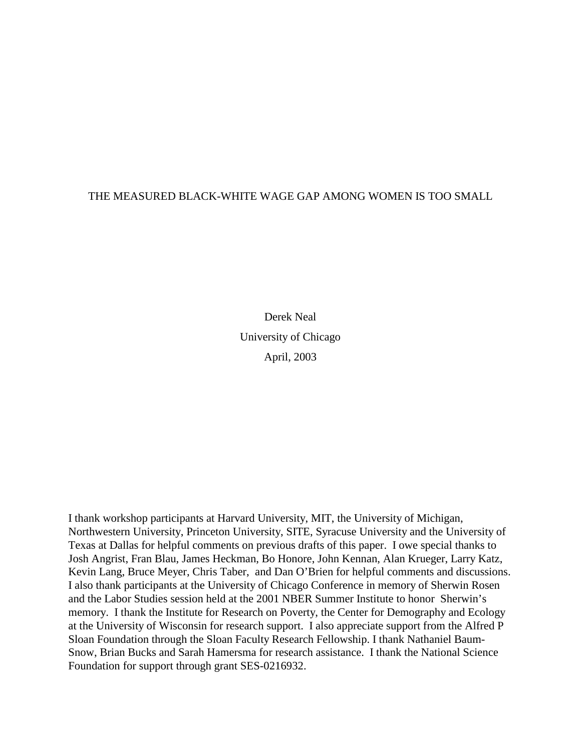## THE MEASURED BLACK-WHITE WAGE GAP AMONG WOMEN IS TOO SMALL

Derek Neal University of Chicago April, 2003

I thank workshop participants at Harvard University, MIT, the University of Michigan, Northwestern University, Princeton University, SITE, Syracuse University and the University of Texas at Dallas for helpful comments on previous drafts of this paper. I owe special thanks to Josh Angrist, Fran Blau, James Heckman, Bo Honore, John Kennan, Alan Krueger, Larry Katz, Kevin Lang, Bruce Meyer, Chris Taber, and Dan O'Brien for helpful comments and discussions. I also thank participants at the University of Chicago Conference in memory of Sherwin Rosen and the Labor Studies session held at the 2001 NBER Summer Institute to honor Sherwin's memory. I thank the Institute for Research on Poverty, the Center for Demography and Ecology at the University of Wisconsin for research support. I also appreciate support from the Alfred P Sloan Foundation through the Sloan Faculty Research Fellowship. I thank Nathaniel Baum-Snow, Brian Bucks and Sarah Hamersma for research assistance. I thank the National Science Foundation for support through grant SES-0216932.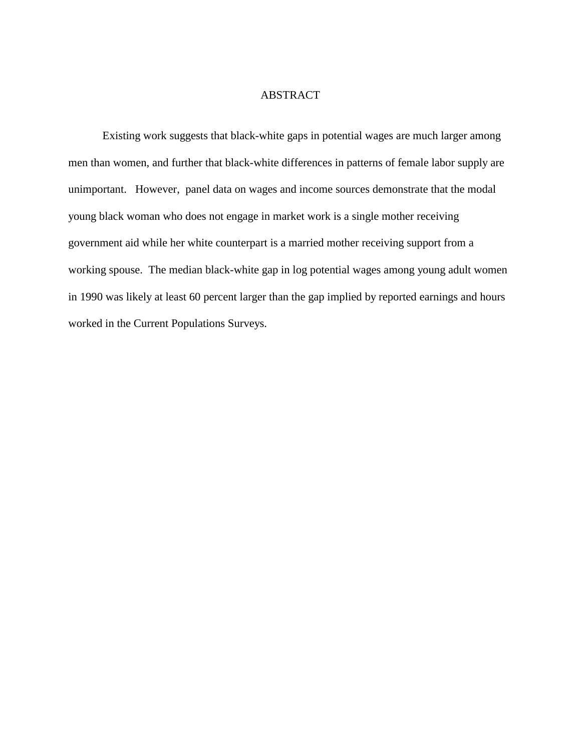## ABSTRACT

Existing work suggests that black-white gaps in potential wages are much larger among men than women, and further that black-white differences in patterns of female labor supply are unimportant. However, panel data on wages and income sources demonstrate that the modal young black woman who does not engage in market work is a single mother receiving government aid while her white counterpart is a married mother receiving support from a working spouse. The median black-white gap in log potential wages among young adult women in 1990 was likely at least 60 percent larger than the gap implied by reported earnings and hours worked in the Current Populations Surveys.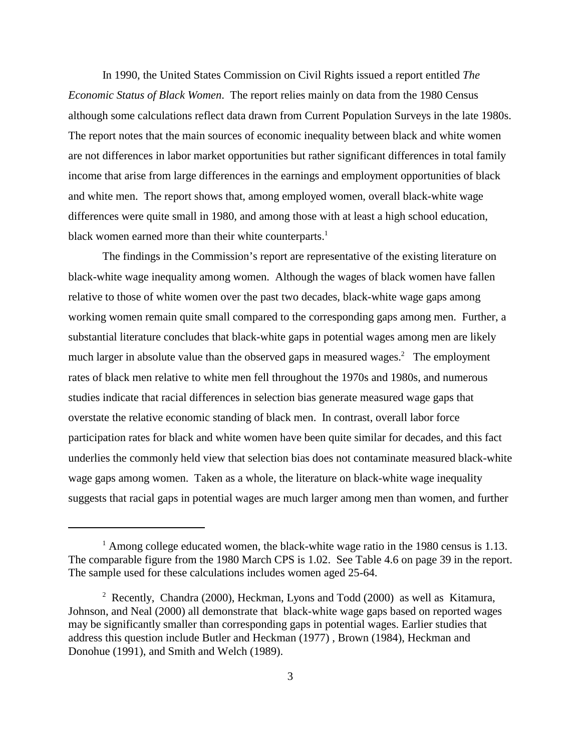In 1990, the United States Commission on Civil Rights issued a report entitled *The Economic Status of Black Women*. The report relies mainly on data from the 1980 Census although some calculations reflect data drawn from Current Population Surveys in the late 1980s. The report notes that the main sources of economic inequality between black and white women are not differences in labor market opportunities but rather significant differences in total family income that arise from large differences in the earnings and employment opportunities of black and white men. The report shows that, among employed women, overall black-white wage differences were quite small in 1980, and among those with at least a high school education, black women earned more than their white counterparts.<sup>1</sup>

The findings in the Commission's report are representative of the existing literature on black-white wage inequality among women. Although the wages of black women have fallen relative to those of white women over the past two decades, black-white wage gaps among working women remain quite small compared to the corresponding gaps among men. Further, a substantial literature concludes that black-white gaps in potential wages among men are likely much larger in absolute value than the observed gaps in measured wages.<sup>2</sup> The employment rates of black men relative to white men fell throughout the 1970s and 1980s, and numerous studies indicate that racial differences in selection bias generate measured wage gaps that overstate the relative economic standing of black men. In contrast, overall labor force participation rates for black and white women have been quite similar for decades, and this fact underlies the commonly held view that selection bias does not contaminate measured black-white wage gaps among women. Taken as a whole, the literature on black-white wage inequality suggests that racial gaps in potential wages are much larger among men than women, and further

<sup>&</sup>lt;sup>1</sup> Among college educated women, the black-white wage ratio in the 1980 census is 1.13. The comparable figure from the 1980 March CPS is 1.02. See Table 4.6 on page 39 in the report. The sample used for these calculations includes women aged 25-64.

<sup>&</sup>lt;sup>2</sup> Recently, Chandra (2000), Heckman, Lyons and Todd (2000) as well as Kitamura, Johnson, and Neal (2000) all demonstrate that black-white wage gaps based on reported wages may be significantly smaller than corresponding gaps in potential wages. Earlier studies that address this question include Butler and Heckman (1977) , Brown (1984), Heckman and Donohue (1991), and Smith and Welch (1989).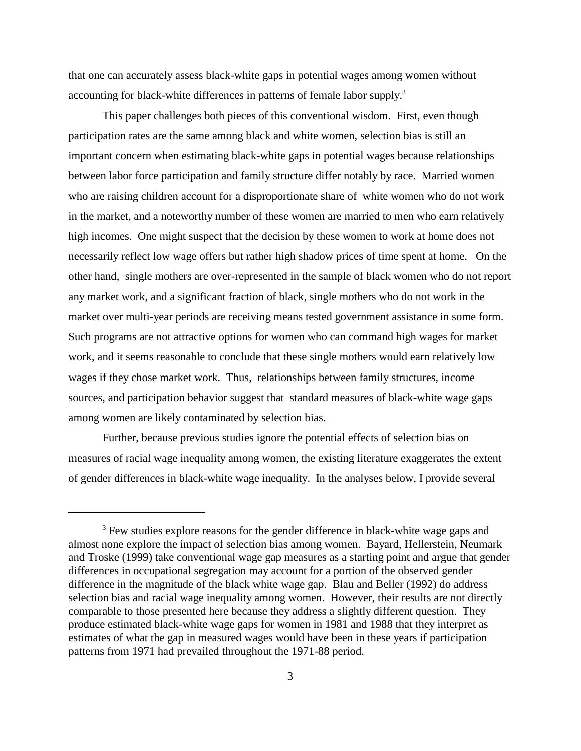that one can accurately assess black-white gaps in potential wages among women without accounting for black-white differences in patterns of female labor supply.<sup>3</sup>

This paper challenges both pieces of this conventional wisdom. First, even though participation rates are the same among black and white women, selection bias is still an important concern when estimating black-white gaps in potential wages because relationships between labor force participation and family structure differ notably by race. Married women who are raising children account for a disproportionate share of white women who do not work in the market, and a noteworthy number of these women are married to men who earn relatively high incomes. One might suspect that the decision by these women to work at home does not necessarily reflect low wage offers but rather high shadow prices of time spent at home. On the other hand, single mothers are over-represented in the sample of black women who do not report any market work, and a significant fraction of black, single mothers who do not work in the market over multi-year periods are receiving means tested government assistance in some form. Such programs are not attractive options for women who can command high wages for market work, and it seems reasonable to conclude that these single mothers would earn relatively low wages if they chose market work. Thus, relationships between family structures, income sources, and participation behavior suggest that standard measures of black-white wage gaps among women are likely contaminated by selection bias.

Further, because previous studies ignore the potential effects of selection bias on measures of racial wage inequality among women, the existing literature exaggerates the extent of gender differences in black-white wage inequality. In the analyses below, I provide several

<sup>&</sup>lt;sup>3</sup> Few studies explore reasons for the gender difference in black-white wage gaps and almost none explore the impact of selection bias among women. Bayard, Hellerstein, Neumark and Troske (1999) take conventional wage gap measures as a starting point and argue that gender differences in occupational segregation may account for a portion of the observed gender difference in the magnitude of the black white wage gap. Blau and Beller (1992) do address selection bias and racial wage inequality among women. However, their results are not directly comparable to those presented here because they address a slightly different question. They produce estimated black-white wage gaps for women in 1981 and 1988 that they interpret as estimates of what the gap in measured wages would have been in these years if participation patterns from 1971 had prevailed throughout the 1971-88 period.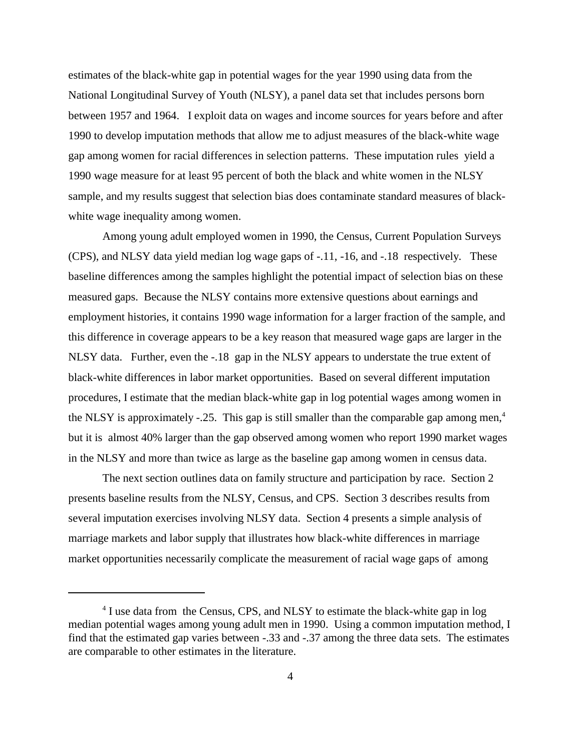estimates of the black-white gap in potential wages for the year 1990 using data from the National Longitudinal Survey of Youth (NLSY), a panel data set that includes persons born between 1957 and 1964. I exploit data on wages and income sources for years before and after 1990 to develop imputation methods that allow me to adjust measures of the black-white wage gap among women for racial differences in selection patterns. These imputation rules yield a 1990 wage measure for at least 95 percent of both the black and white women in the NLSY sample, and my results suggest that selection bias does contaminate standard measures of blackwhite wage inequality among women.

Among young adult employed women in 1990, the Census, Current Population Surveys (CPS), and NLSY data yield median log wage gaps of -.11, -16, and -.18 respectively. These baseline differences among the samples highlight the potential impact of selection bias on these measured gaps. Because the NLSY contains more extensive questions about earnings and employment histories, it contains 1990 wage information for a larger fraction of the sample, and this difference in coverage appears to be a key reason that measured wage gaps are larger in the NLSY data. Further, even the -.18 gap in the NLSY appears to understate the true extent of black-white differences in labor market opportunities. Based on several different imputation procedures, I estimate that the median black-white gap in log potential wages among women in the NLSY is approximately -.25. This gap is still smaller than the comparable gap among men,<sup>4</sup> but it is almost 40% larger than the gap observed among women who report 1990 market wages in the NLSY and more than twice as large as the baseline gap among women in census data.

The next section outlines data on family structure and participation by race. Section 2 presents baseline results from the NLSY, Census, and CPS. Section 3 describes results from several imputation exercises involving NLSY data. Section 4 presents a simple analysis of marriage markets and labor supply that illustrates how black-white differences in marriage market opportunities necessarily complicate the measurement of racial wage gaps of among

<sup>&</sup>lt;sup>4</sup> I use data from the Census, CPS, and NLSY to estimate the black-white gap in log median potential wages among young adult men in 1990. Using a common imputation method, I find that the estimated gap varies between -.33 and -.37 among the three data sets. The estimates are comparable to other estimates in the literature.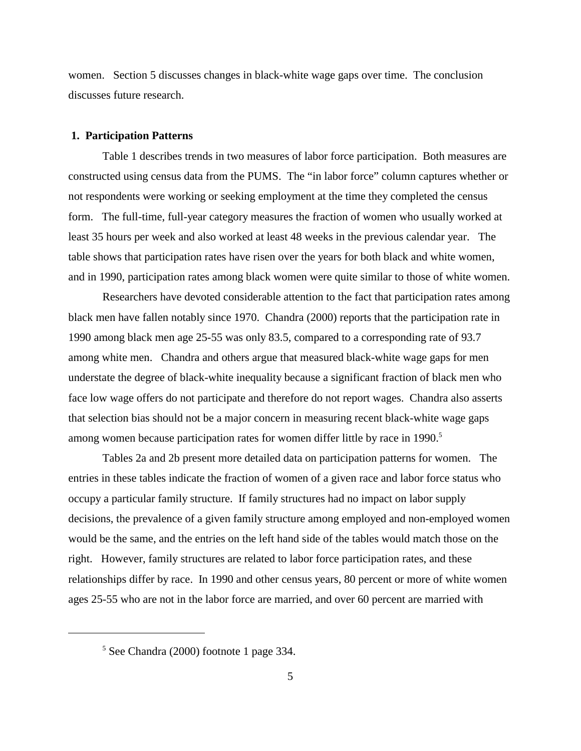women. Section 5 discusses changes in black-white wage gaps over time. The conclusion discusses future research.

#### **1. Participation Patterns**

Table 1 describes trends in two measures of labor force participation. Both measures are constructed using census data from the PUMS. The "in labor force" column captures whether or not respondents were working or seeking employment at the time they completed the census form. The full-time, full-year category measures the fraction of women who usually worked at least 35 hours per week and also worked at least 48 weeks in the previous calendar year. The table shows that participation rates have risen over the years for both black and white women, and in 1990, participation rates among black women were quite similar to those of white women.

Researchers have devoted considerable attention to the fact that participation rates among black men have fallen notably since 1970. Chandra (2000) reports that the participation rate in 1990 among black men age 25-55 was only 83.5, compared to a corresponding rate of 93.7 among white men. Chandra and others argue that measured black-white wage gaps for men understate the degree of black-white inequality because a significant fraction of black men who face low wage offers do not participate and therefore do not report wages. Chandra also asserts that selection bias should not be a major concern in measuring recent black-white wage gaps among women because participation rates for women differ little by race in 1990.<sup>5</sup>

Tables 2a and 2b present more detailed data on participation patterns for women. The entries in these tables indicate the fraction of women of a given race and labor force status who occupy a particular family structure. If family structures had no impact on labor supply decisions, the prevalence of a given family structure among employed and non-employed women would be the same, and the entries on the left hand side of the tables would match those on the right. However, family structures are related to labor force participation rates, and these relationships differ by race. In 1990 and other census years, 80 percent or more of white women ages 25-55 who are not in the labor force are married, and over 60 percent are married with

<sup>5</sup> See Chandra (2000) footnote 1 page 334.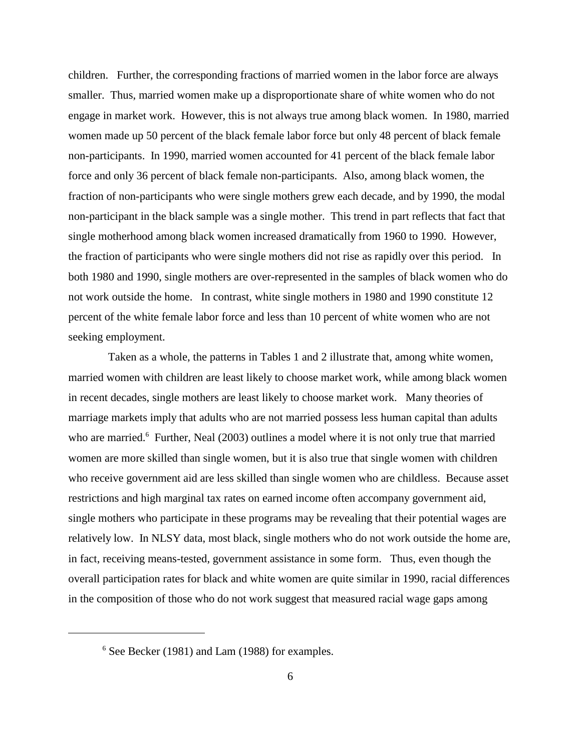children. Further, the corresponding fractions of married women in the labor force are always smaller. Thus, married women make up a disproportionate share of white women who do not engage in market work. However, this is not always true among black women. In 1980, married women made up 50 percent of the black female labor force but only 48 percent of black female non-participants. In 1990, married women accounted for 41 percent of the black female labor force and only 36 percent of black female non-participants. Also, among black women, the fraction of non-participants who were single mothers grew each decade, and by 1990, the modal non-participant in the black sample was a single mother. This trend in part reflects that fact that single motherhood among black women increased dramatically from 1960 to 1990. However, the fraction of participants who were single mothers did not rise as rapidly over this period. In both 1980 and 1990, single mothers are over-represented in the samples of black women who do not work outside the home. In contrast, white single mothers in 1980 and 1990 constitute 12 percent of the white female labor force and less than 10 percent of white women who are not seeking employment.

 Taken as a whole, the patterns in Tables 1 and 2 illustrate that, among white women, married women with children are least likely to choose market work, while among black women in recent decades, single mothers are least likely to choose market work. Many theories of marriage markets imply that adults who are not married possess less human capital than adults who are married.<sup>6</sup> Further, Neal (2003) outlines a model where it is not only true that married women are more skilled than single women, but it is also true that single women with children who receive government aid are less skilled than single women who are childless. Because asset restrictions and high marginal tax rates on earned income often accompany government aid, single mothers who participate in these programs may be revealing that their potential wages are relatively low. In NLSY data, most black, single mothers who do not work outside the home are, in fact, receiving means-tested, government assistance in some form. Thus, even though the overall participation rates for black and white women are quite similar in 1990, racial differences in the composition of those who do not work suggest that measured racial wage gaps among

<sup>&</sup>lt;sup>6</sup> See Becker (1981) and Lam (1988) for examples.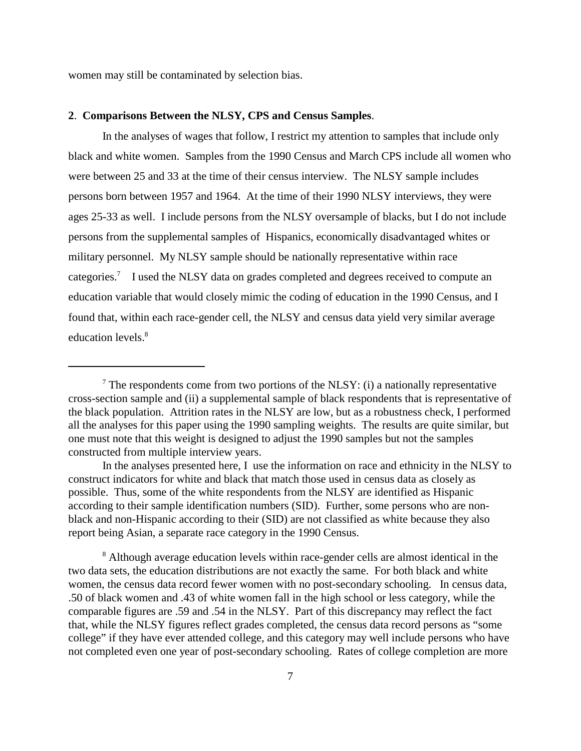women may still be contaminated by selection bias.

#### **2**. **Comparisons Between the NLSY, CPS and Census Samples**.

In the analyses of wages that follow, I restrict my attention to samples that include only black and white women. Samples from the 1990 Census and March CPS include all women who were between 25 and 33 at the time of their census interview. The NLSY sample includes persons born between 1957 and 1964. At the time of their 1990 NLSY interviews, they were ages 25-33 as well. I include persons from the NLSY oversample of blacks, but I do not include persons from the supplemental samples of Hispanics, economically disadvantaged whites or military personnel. My NLSY sample should be nationally representative within race categories.<sup>7</sup> I used the NLSY data on grades completed and degrees received to compute an education variable that would closely mimic the coding of education in the 1990 Census, and I found that, within each race-gender cell, the NLSY and census data yield very similar average education levels.<sup>8</sup>

In the analyses presented here, I use the information on race and ethnicity in the NLSY to construct indicators for white and black that match those used in census data as closely as possible. Thus, some of the white respondents from the NLSY are identified as Hispanic according to their sample identification numbers (SID). Further, some persons who are nonblack and non-Hispanic according to their (SID) are not classified as white because they also report being Asian, a separate race category in the 1990 Census.

<sup>8</sup> Although average education levels within race-gender cells are almost identical in the two data sets, the education distributions are not exactly the same. For both black and white women, the census data record fewer women with no post-secondary schooling. In census data, .50 of black women and .43 of white women fall in the high school or less category, while the comparable figures are .59 and .54 in the NLSY. Part of this discrepancy may reflect the fact that, while the NLSY figures reflect grades completed, the census data record persons as "some college" if they have ever attended college, and this category may well include persons who have not completed even one year of post-secondary schooling. Rates of college completion are more

<sup>&</sup>lt;sup>7</sup> The respondents come from two portions of the NLSY: (i) a nationally representative cross-section sample and (ii) a supplemental sample of black respondents that is representative of the black population. Attrition rates in the NLSY are low, but as a robustness check, I performed all the analyses for this paper using the 1990 sampling weights. The results are quite similar, but one must note that this weight is designed to adjust the 1990 samples but not the samples constructed from multiple interview years.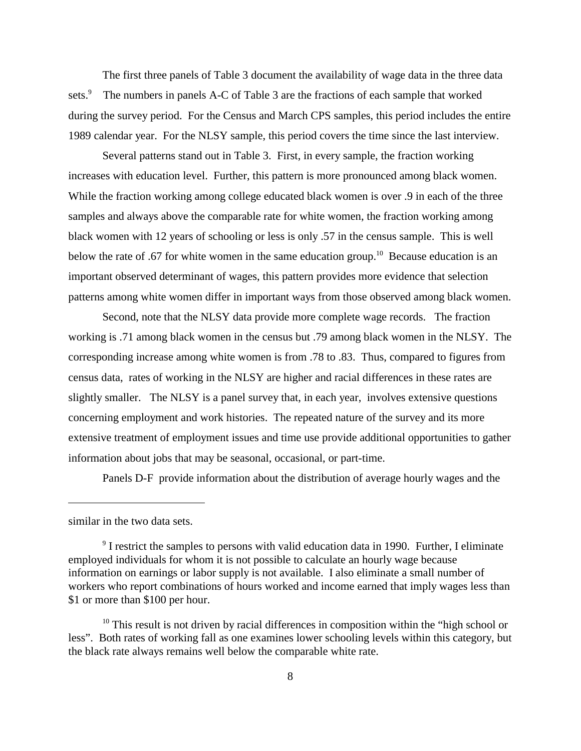The first three panels of Table 3 document the availability of wage data in the three data sets.<sup>9</sup> The numbers in panels A-C of Table 3 are the fractions of each sample that worked during the survey period. For the Census and March CPS samples, this period includes the entire 1989 calendar year. For the NLSY sample, this period covers the time since the last interview.

Several patterns stand out in Table 3. First, in every sample, the fraction working increases with education level. Further, this pattern is more pronounced among black women. While the fraction working among college educated black women is over .9 in each of the three samples and always above the comparable rate for white women, the fraction working among black women with 12 years of schooling or less is only .57 in the census sample. This is well below the rate of .67 for white women in the same education group.<sup>10</sup> Because education is an important observed determinant of wages, this pattern provides more evidence that selection patterns among white women differ in important ways from those observed among black women.

Second, note that the NLSY data provide more complete wage records. The fraction working is .71 among black women in the census but .79 among black women in the NLSY. The corresponding increase among white women is from .78 to .83. Thus, compared to figures from census data, rates of working in the NLSY are higher and racial differences in these rates are slightly smaller. The NLSY is a panel survey that, in each year, involves extensive questions concerning employment and work histories. The repeated nature of the survey and its more extensive treatment of employment issues and time use provide additional opportunities to gather information about jobs that may be seasonal, occasional, or part-time.

Panels D-F provide information about the distribution of average hourly wages and the

similar in the two data sets.

<sup>&</sup>lt;sup>9</sup> I restrict the samples to persons with valid education data in 1990. Further, I eliminate employed individuals for whom it is not possible to calculate an hourly wage because information on earnings or labor supply is not available. I also eliminate a small number of workers who report combinations of hours worked and income earned that imply wages less than \$1 or more than \$100 per hour.

 $10$  This result is not driven by racial differences in composition within the "high school or less". Both rates of working fall as one examines lower schooling levels within this category, but the black rate always remains well below the comparable white rate.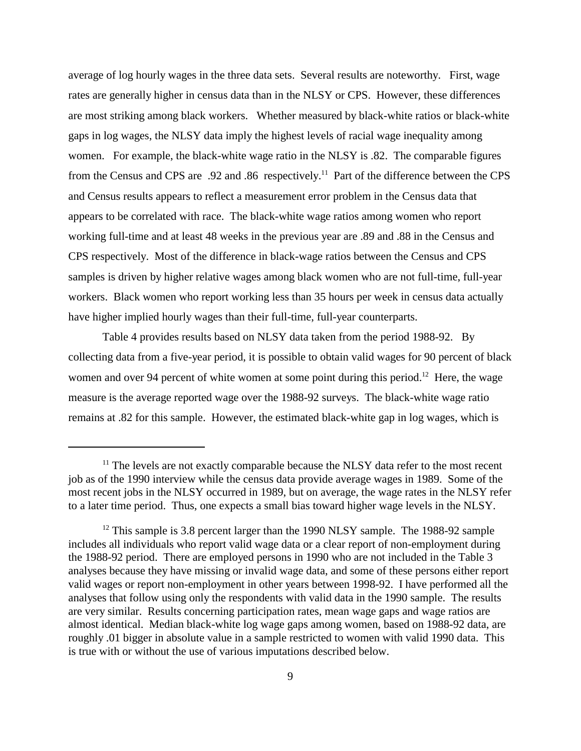average of log hourly wages in the three data sets. Several results are noteworthy. First, wage rates are generally higher in census data than in the NLSY or CPS. However, these differences are most striking among black workers. Whether measured by black-white ratios or black-white gaps in log wages, the NLSY data imply the highest levels of racial wage inequality among women. For example, the black-white wage ratio in the NLSY is .82. The comparable figures from the Census and CPS are .92 and .86 respectively.11 Part of the difference between the CPS and Census results appears to reflect a measurement error problem in the Census data that appears to be correlated with race. The black-white wage ratios among women who report working full-time and at least 48 weeks in the previous year are .89 and .88 in the Census and CPS respectively. Most of the difference in black-wage ratios between the Census and CPS samples is driven by higher relative wages among black women who are not full-time, full-year workers. Black women who report working less than 35 hours per week in census data actually have higher implied hourly wages than their full-time, full-year counterparts.

Table 4 provides results based on NLSY data taken from the period 1988-92. By collecting data from a five-year period, it is possible to obtain valid wages for 90 percent of black women and over 94 percent of white women at some point during this period.<sup>12</sup> Here, the wage measure is the average reported wage over the 1988-92 surveys. The black-white wage ratio remains at .82 for this sample. However, the estimated black-white gap in log wages, which is

 $11$ <sup>11</sup> The levels are not exactly comparable because the NLSY data refer to the most recent job as of the 1990 interview while the census data provide average wages in 1989. Some of the most recent jobs in the NLSY occurred in 1989, but on average, the wage rates in the NLSY refer to a later time period. Thus, one expects a small bias toward higher wage levels in the NLSY.

 $12$  This sample is 3.8 percent larger than the 1990 NLSY sample. The 1988-92 sample includes all individuals who report valid wage data or a clear report of non-employment during the 1988-92 period. There are employed persons in 1990 who are not included in the Table 3 analyses because they have missing or invalid wage data, and some of these persons either report valid wages or report non-employment in other years between 1998-92. I have performed all the analyses that follow using only the respondents with valid data in the 1990 sample. The results are very similar. Results concerning participation rates, mean wage gaps and wage ratios are almost identical. Median black-white log wage gaps among women, based on 1988-92 data, are roughly .01 bigger in absolute value in a sample restricted to women with valid 1990 data. This is true with or without the use of various imputations described below.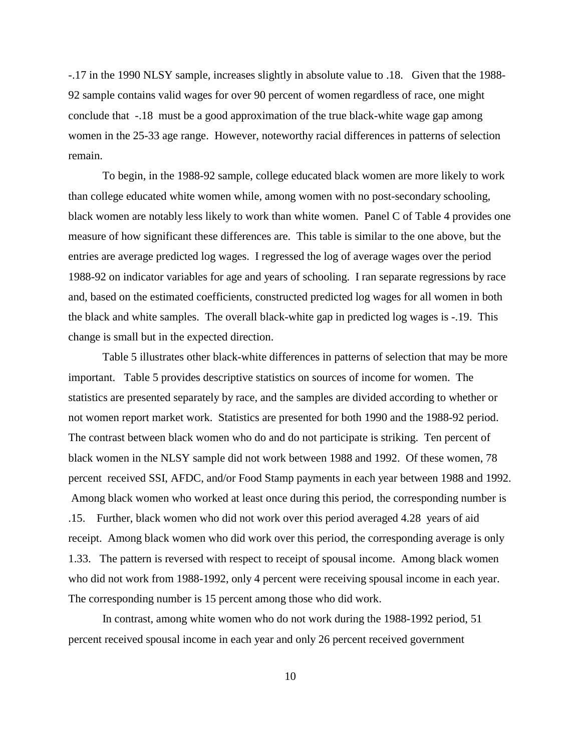-.17 in the 1990 NLSY sample, increases slightly in absolute value to .18. Given that the 1988- 92 sample contains valid wages for over 90 percent of women regardless of race, one might conclude that -.18 must be a good approximation of the true black-white wage gap among women in the 25-33 age range. However, noteworthy racial differences in patterns of selection remain.

To begin, in the 1988-92 sample, college educated black women are more likely to work than college educated white women while, among women with no post-secondary schooling, black women are notably less likely to work than white women. Panel C of Table 4 provides one measure of how significant these differences are. This table is similar to the one above, but the entries are average predicted log wages. I regressed the log of average wages over the period 1988-92 on indicator variables for age and years of schooling. I ran separate regressions by race and, based on the estimated coefficients, constructed predicted log wages for all women in both the black and white samples. The overall black-white gap in predicted log wages is -.19. This change is small but in the expected direction.

Table 5 illustrates other black-white differences in patterns of selection that may be more important. Table 5 provides descriptive statistics on sources of income for women. The statistics are presented separately by race, and the samples are divided according to whether or not women report market work. Statistics are presented for both 1990 and the 1988-92 period. The contrast between black women who do and do not participate is striking. Ten percent of black women in the NLSY sample did not work between 1988 and 1992. Of these women, 78 percent received SSI, AFDC, and/or Food Stamp payments in each year between 1988 and 1992. Among black women who worked at least once during this period, the corresponding number is .15. Further, black women who did not work over this period averaged 4.28 years of aid receipt. Among black women who did work over this period, the corresponding average is only 1.33. The pattern is reversed with respect to receipt of spousal income. Among black women who did not work from 1988-1992, only 4 percent were receiving spousal income in each year. The corresponding number is 15 percent among those who did work.

In contrast, among white women who do not work during the 1988-1992 period, 51 percent received spousal income in each year and only 26 percent received government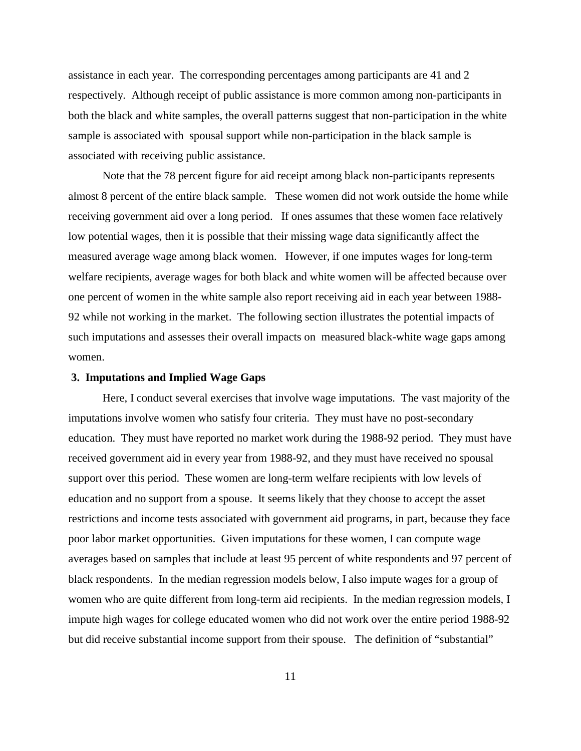assistance in each year. The corresponding percentages among participants are 41 and 2 respectively. Although receipt of public assistance is more common among non-participants in both the black and white samples, the overall patterns suggest that non-participation in the white sample is associated with spousal support while non-participation in the black sample is associated with receiving public assistance.

Note that the 78 percent figure for aid receipt among black non-participants represents almost 8 percent of the entire black sample. These women did not work outside the home while receiving government aid over a long period. If ones assumes that these women face relatively low potential wages, then it is possible that their missing wage data significantly affect the measured average wage among black women. However, if one imputes wages for long-term welfare recipients, average wages for both black and white women will be affected because over one percent of women in the white sample also report receiving aid in each year between 1988- 92 while not working in the market. The following section illustrates the potential impacts of such imputations and assesses their overall impacts on measured black-white wage gaps among women.

#### **3. Imputations and Implied Wage Gaps**

Here, I conduct several exercises that involve wage imputations. The vast majority of the imputations involve women who satisfy four criteria. They must have no post-secondary education. They must have reported no market work during the 1988-92 period. They must have received government aid in every year from 1988-92, and they must have received no spousal support over this period. These women are long-term welfare recipients with low levels of education and no support from a spouse. It seems likely that they choose to accept the asset restrictions and income tests associated with government aid programs, in part, because they face poor labor market opportunities. Given imputations for these women, I can compute wage averages based on samples that include at least 95 percent of white respondents and 97 percent of black respondents. In the median regression models below, I also impute wages for a group of women who are quite different from long-term aid recipients. In the median regression models, I impute high wages for college educated women who did not work over the entire period 1988-92 but did receive substantial income support from their spouse. The definition of "substantial"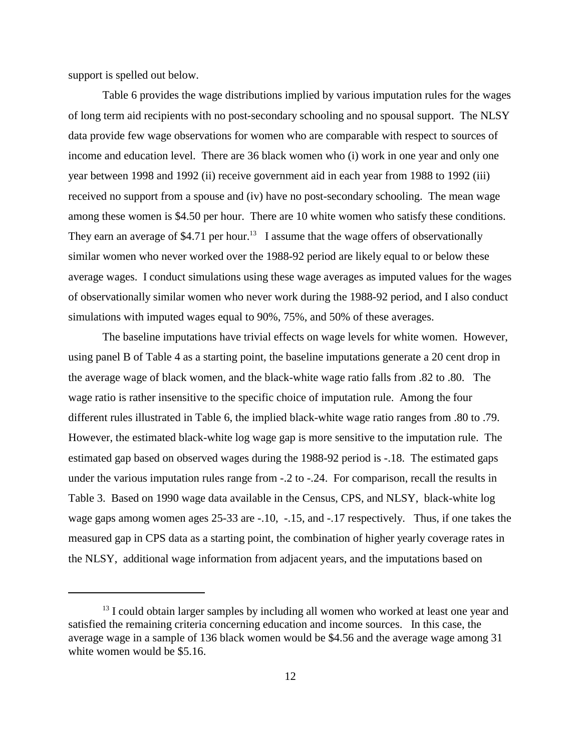support is spelled out below.

Table 6 provides the wage distributions implied by various imputation rules for the wages of long term aid recipients with no post-secondary schooling and no spousal support. The NLSY data provide few wage observations for women who are comparable with respect to sources of income and education level. There are 36 black women who (i) work in one year and only one year between 1998 and 1992 (ii) receive government aid in each year from 1988 to 1992 (iii) received no support from a spouse and (iv) have no post-secondary schooling. The mean wage among these women is \$4.50 per hour. There are 10 white women who satisfy these conditions. They earn an average of \$4.71 per hour.<sup>13</sup> I assume that the wage offers of observationally similar women who never worked over the 1988-92 period are likely equal to or below these average wages. I conduct simulations using these wage averages as imputed values for the wages of observationally similar women who never work during the 1988-92 period, and I also conduct simulations with imputed wages equal to 90%, 75%, and 50% of these averages.

The baseline imputations have trivial effects on wage levels for white women. However, using panel B of Table 4 as a starting point, the baseline imputations generate a 20 cent drop in the average wage of black women, and the black-white wage ratio falls from .82 to .80. The wage ratio is rather insensitive to the specific choice of imputation rule. Among the four different rules illustrated in Table 6, the implied black-white wage ratio ranges from .80 to .79. However, the estimated black-white log wage gap is more sensitive to the imputation rule. The estimated gap based on observed wages during the 1988-92 period is -.18. The estimated gaps under the various imputation rules range from -.2 to -.24. For comparison, recall the results in Table 3. Based on 1990 wage data available in the Census, CPS, and NLSY, black-white log wage gaps among women ages 25-33 are -.10, -.15, and -.17 respectively. Thus, if one takes the measured gap in CPS data as a starting point, the combination of higher yearly coverage rates in the NLSY, additional wage information from adjacent years, and the imputations based on

 $<sup>13</sup>$  I could obtain larger samples by including all women who worked at least one year and</sup> satisfied the remaining criteria concerning education and income sources. In this case, the average wage in a sample of 136 black women would be \$4.56 and the average wage among 31 white women would be \$5.16.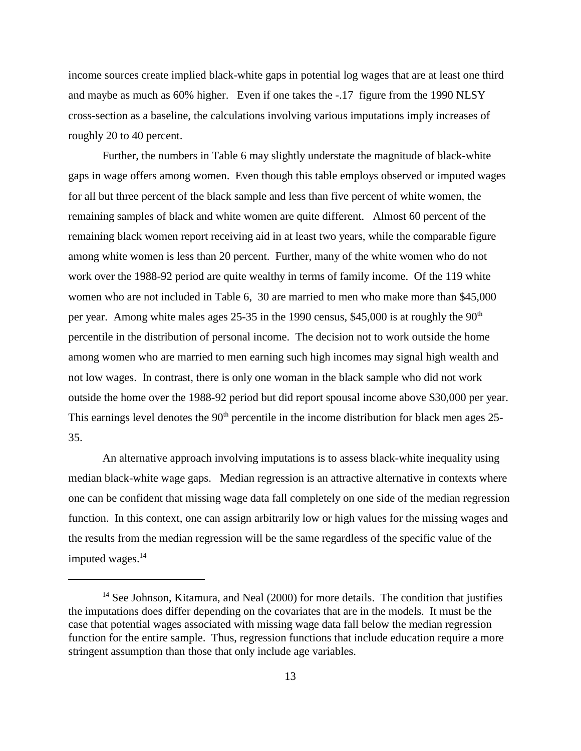income sources create implied black-white gaps in potential log wages that are at least one third and maybe as much as 60% higher. Even if one takes the -.17 figure from the 1990 NLSY cross-section as a baseline, the calculations involving various imputations imply increases of roughly 20 to 40 percent.

Further, the numbers in Table 6 may slightly understate the magnitude of black-white gaps in wage offers among women. Even though this table employs observed or imputed wages for all but three percent of the black sample and less than five percent of white women, the remaining samples of black and white women are quite different. Almost 60 percent of the remaining black women report receiving aid in at least two years, while the comparable figure among white women is less than 20 percent. Further, many of the white women who do not work over the 1988-92 period are quite wealthy in terms of family income. Of the 119 white women who are not included in Table 6, 30 are married to men who make more than \$45,000 per year. Among white males ages 25-35 in the 1990 census, \$45,000 is at roughly the  $90<sup>th</sup>$ percentile in the distribution of personal income. The decision not to work outside the home among women who are married to men earning such high incomes may signal high wealth and not low wages. In contrast, there is only one woman in the black sample who did not work outside the home over the 1988-92 period but did report spousal income above \$30,000 per year. This earnings level denotes the  $90<sup>th</sup>$  percentile in the income distribution for black men ages 25-35.

An alternative approach involving imputations is to assess black-white inequality using median black-white wage gaps. Median regression is an attractive alternative in contexts where one can be confident that missing wage data fall completely on one side of the median regression function. In this context, one can assign arbitrarily low or high values for the missing wages and the results from the median regression will be the same regardless of the specific value of the imputed wages.<sup>14</sup>

 $14$  See Johnson, Kitamura, and Neal (2000) for more details. The condition that justifies the imputations does differ depending on the covariates that are in the models. It must be the case that potential wages associated with missing wage data fall below the median regression function for the entire sample. Thus, regression functions that include education require a more stringent assumption than those that only include age variables.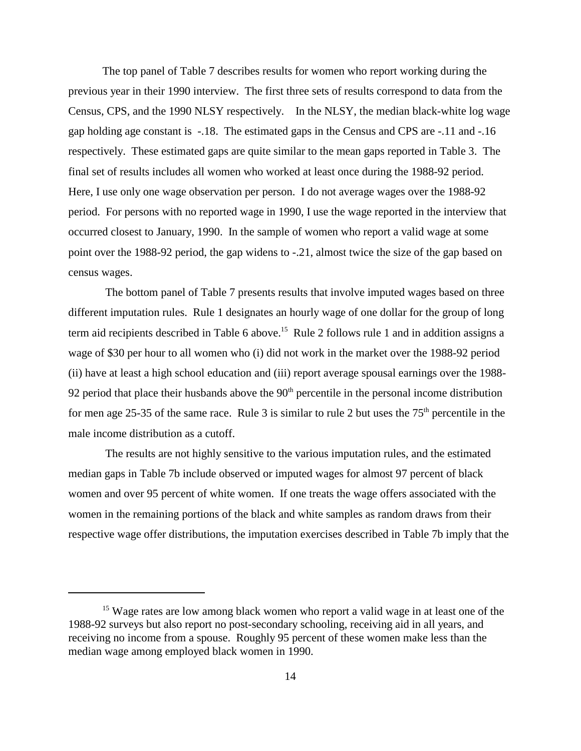The top panel of Table 7 describes results for women who report working during the previous year in their 1990 interview. The first three sets of results correspond to data from the Census, CPS, and the 1990 NLSY respectively. In the NLSY, the median black-white log wage gap holding age constant is -.18. The estimated gaps in the Census and CPS are -.11 and -.16 respectively. These estimated gaps are quite similar to the mean gaps reported in Table 3. The final set of results includes all women who worked at least once during the 1988-92 period. Here, I use only one wage observation per person. I do not average wages over the 1988-92 period. For persons with no reported wage in 1990, I use the wage reported in the interview that occurred closest to January, 1990. In the sample of women who report a valid wage at some point over the 1988-92 period, the gap widens to -.21, almost twice the size of the gap based on census wages.

 The bottom panel of Table 7 presents results that involve imputed wages based on three different imputation rules. Rule 1 designates an hourly wage of one dollar for the group of long term aid recipients described in Table 6 above.<sup>15</sup> Rule 2 follows rule 1 and in addition assigns a wage of \$30 per hour to all women who (i) did not work in the market over the 1988-92 period (ii) have at least a high school education and (iii) report average spousal earnings over the 1988- 92 period that place their husbands above the  $90<sup>th</sup>$  percentile in the personal income distribution for men age 25-35 of the same race. Rule 3 is similar to rule 2 but uses the  $75<sup>th</sup>$  percentile in the male income distribution as a cutoff.

 The results are not highly sensitive to the various imputation rules, and the estimated median gaps in Table 7b include observed or imputed wages for almost 97 percent of black women and over 95 percent of white women. If one treats the wage offers associated with the women in the remaining portions of the black and white samples as random draws from their respective wage offer distributions, the imputation exercises described in Table 7b imply that the

<sup>&</sup>lt;sup>15</sup> Wage rates are low among black women who report a valid wage in at least one of the 1988-92 surveys but also report no post-secondary schooling, receiving aid in all years, and receiving no income from a spouse. Roughly 95 percent of these women make less than the median wage among employed black women in 1990.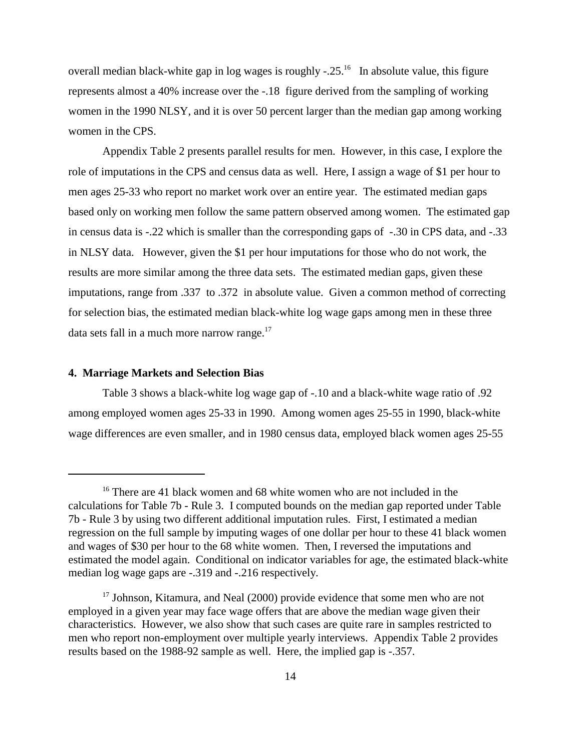overall median black-white gap in log wages is roughly  $-0.25$ .<sup>16</sup> In absolute value, this figure represents almost a 40% increase over the -.18 figure derived from the sampling of working women in the 1990 NLSY, and it is over 50 percent larger than the median gap among working women in the CPS.

Appendix Table 2 presents parallel results for men. However, in this case, I explore the role of imputations in the CPS and census data as well. Here, I assign a wage of \$1 per hour to men ages 25-33 who report no market work over an entire year. The estimated median gaps based only on working men follow the same pattern observed among women. The estimated gap in census data is -.22 which is smaller than the corresponding gaps of -.30 in CPS data, and -.33 in NLSY data. However, given the \$1 per hour imputations for those who do not work, the results are more similar among the three data sets. The estimated median gaps, given these imputations, range from .337 to .372 in absolute value. Given a common method of correcting for selection bias, the estimated median black-white log wage gaps among men in these three data sets fall in a much more narrow range. $17$ 

#### **4. Marriage Markets and Selection Bias**

Table 3 shows a black-white log wage gap of -.10 and a black-white wage ratio of .92 among employed women ages 25-33 in 1990. Among women ages 25-55 in 1990, black-white wage differences are even smaller, and in 1980 census data, employed black women ages 25-55

<sup>&</sup>lt;sup>16</sup> There are 41 black women and 68 white women who are not included in the calculations for Table 7b - Rule 3. I computed bounds on the median gap reported under Table 7b - Rule 3 by using two different additional imputation rules. First, I estimated a median regression on the full sample by imputing wages of one dollar per hour to these 41 black women and wages of \$30 per hour to the 68 white women. Then, I reversed the imputations and estimated the model again. Conditional on indicator variables for age, the estimated black-white median log wage gaps are -.319 and -.216 respectively.

 $17$  Johnson, Kitamura, and Neal (2000) provide evidence that some men who are not employed in a given year may face wage offers that are above the median wage given their characteristics. However, we also show that such cases are quite rare in samples restricted to men who report non-employment over multiple yearly interviews. Appendix Table 2 provides results based on the 1988-92 sample as well. Here, the implied gap is -.357.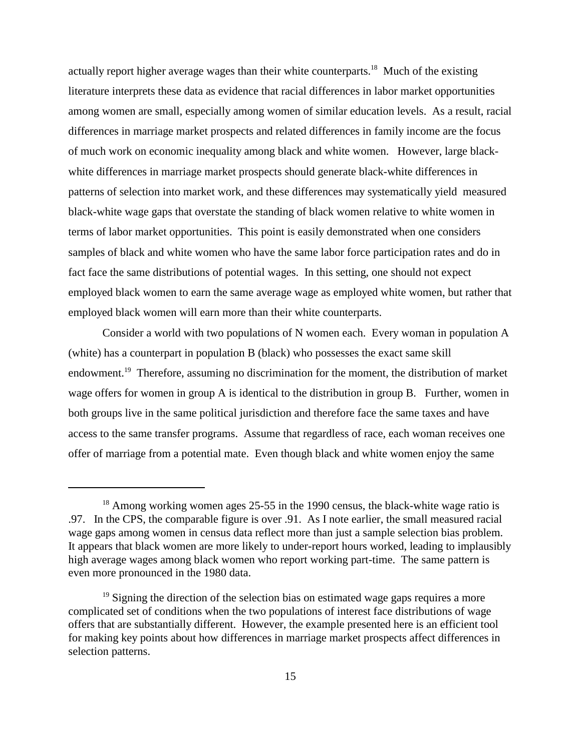actually report higher average wages than their white counterparts.<sup>18</sup> Much of the existing literature interprets these data as evidence that racial differences in labor market opportunities among women are small, especially among women of similar education levels. As a result, racial differences in marriage market prospects and related differences in family income are the focus of much work on economic inequality among black and white women. However, large blackwhite differences in marriage market prospects should generate black-white differences in patterns of selection into market work, and these differences may systematically yield measured black-white wage gaps that overstate the standing of black women relative to white women in terms of labor market opportunities. This point is easily demonstrated when one considers samples of black and white women who have the same labor force participation rates and do in fact face the same distributions of potential wages. In this setting, one should not expect employed black women to earn the same average wage as employed white women, but rather that employed black women will earn more than their white counterparts.

Consider a world with two populations of N women each. Every woman in population A (white) has a counterpart in population B (black) who possesses the exact same skill endowment.<sup>19</sup> Therefore, assuming no discrimination for the moment, the distribution of market wage offers for women in group A is identical to the distribution in group B. Further, women in both groups live in the same political jurisdiction and therefore face the same taxes and have access to the same transfer programs. Assume that regardless of race, each woman receives one offer of marriage from a potential mate. Even though black and white women enjoy the same

<sup>&</sup>lt;sup>18</sup> Among working women ages 25-55 in the 1990 census, the black-white wage ratio is .97. In the CPS, the comparable figure is over .91. As I note earlier, the small measured racial wage gaps among women in census data reflect more than just a sample selection bias problem. It appears that black women are more likely to under-report hours worked, leading to implausibly high average wages among black women who report working part-time. The same pattern is even more pronounced in the 1980 data.

 $19$  Signing the direction of the selection bias on estimated wage gaps requires a more complicated set of conditions when the two populations of interest face distributions of wage offers that are substantially different. However, the example presented here is an efficient tool for making key points about how differences in marriage market prospects affect differences in selection patterns.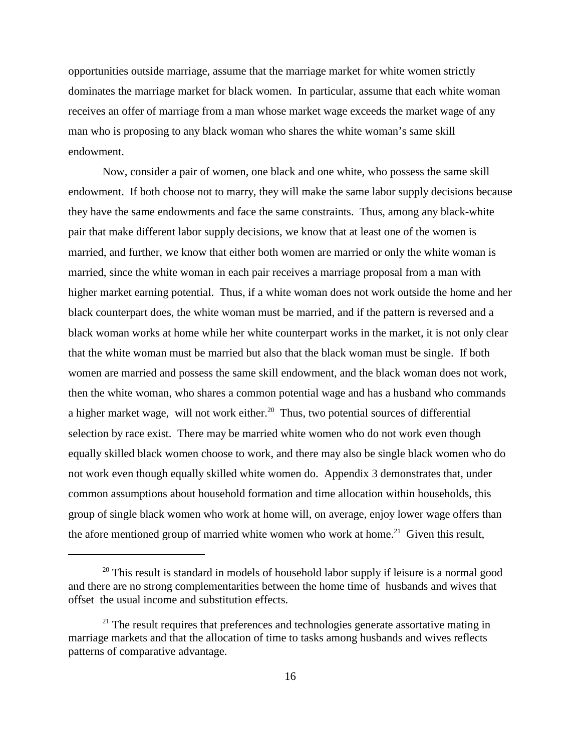opportunities outside marriage, assume that the marriage market for white women strictly dominates the marriage market for black women. In particular, assume that each white woman receives an offer of marriage from a man whose market wage exceeds the market wage of any man who is proposing to any black woman who shares the white woman's same skill endowment.

Now, consider a pair of women, one black and one white, who possess the same skill endowment. If both choose not to marry, they will make the same labor supply decisions because they have the same endowments and face the same constraints. Thus, among any black-white pair that make different labor supply decisions, we know that at least one of the women is married, and further, we know that either both women are married or only the white woman is married, since the white woman in each pair receives a marriage proposal from a man with higher market earning potential. Thus, if a white woman does not work outside the home and her black counterpart does, the white woman must be married, and if the pattern is reversed and a black woman works at home while her white counterpart works in the market, it is not only clear that the white woman must be married but also that the black woman must be single. If both women are married and possess the same skill endowment, and the black woman does not work, then the white woman, who shares a common potential wage and has a husband who commands a higher market wage, will not work either.<sup>20</sup> Thus, two potential sources of differential selection by race exist. There may be married white women who do not work even though equally skilled black women choose to work, and there may also be single black women who do not work even though equally skilled white women do. Appendix 3 demonstrates that, under common assumptions about household formation and time allocation within households, this group of single black women who work at home will, on average, enjoy lower wage offers than the afore mentioned group of married white women who work at home.<sup>21</sup> Given this result,

 $20$  This result is standard in models of household labor supply if leisure is a normal good and there are no strong complementarities between the home time of husbands and wives that offset the usual income and substitution effects.

 $21$  The result requires that preferences and technologies generate assortative mating in marriage markets and that the allocation of time to tasks among husbands and wives reflects patterns of comparative advantage.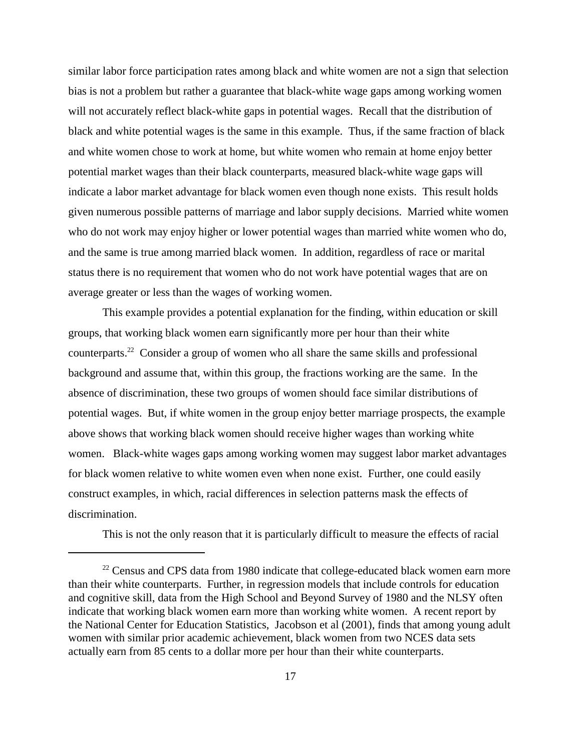similar labor force participation rates among black and white women are not a sign that selection bias is not a problem but rather a guarantee that black-white wage gaps among working women will not accurately reflect black-white gaps in potential wages. Recall that the distribution of black and white potential wages is the same in this example. Thus, if the same fraction of black and white women chose to work at home, but white women who remain at home enjoy better potential market wages than their black counterparts, measured black-white wage gaps will indicate a labor market advantage for black women even though none exists. This result holds given numerous possible patterns of marriage and labor supply decisions. Married white women who do not work may enjoy higher or lower potential wages than married white women who do, and the same is true among married black women. In addition, regardless of race or marital status there is no requirement that women who do not work have potential wages that are on average greater or less than the wages of working women.

 This example provides a potential explanation for the finding, within education or skill groups, that working black women earn significantly more per hour than their white counterparts.22 Consider a group of women who all share the same skills and professional background and assume that, within this group, the fractions working are the same. In the absence of discrimination, these two groups of women should face similar distributions of potential wages. But, if white women in the group enjoy better marriage prospects, the example above shows that working black women should receive higher wages than working white women. Black-white wages gaps among working women may suggest labor market advantages for black women relative to white women even when none exist. Further, one could easily construct examples, in which, racial differences in selection patterns mask the effects of discrimination.

This is not the only reason that it is particularly difficult to measure the effects of racial

 $22$  Census and CPS data from 1980 indicate that college-educated black women earn more than their white counterparts. Further, in regression models that include controls for education and cognitive skill, data from the High School and Beyond Survey of 1980 and the NLSY often indicate that working black women earn more than working white women. A recent report by the National Center for Education Statistics, Jacobson et al (2001), finds that among young adult women with similar prior academic achievement, black women from two NCES data sets actually earn from 85 cents to a dollar more per hour than their white counterparts.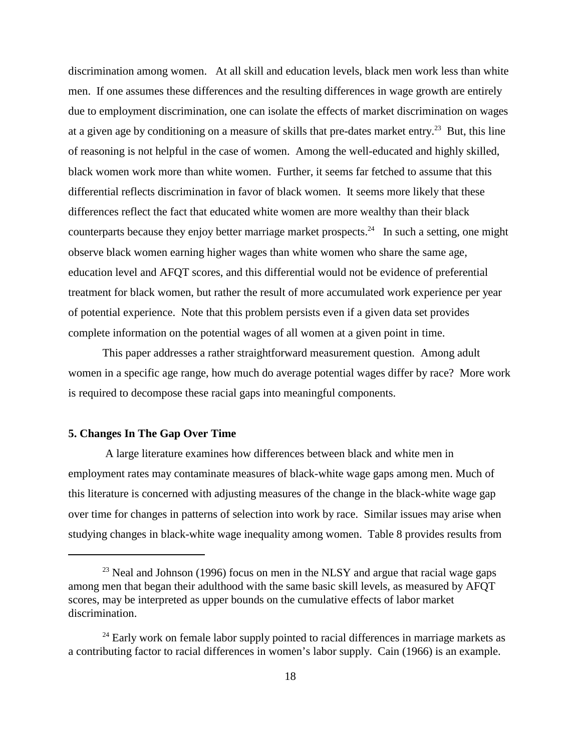discrimination among women. At all skill and education levels, black men work less than white men. If one assumes these differences and the resulting differences in wage growth are entirely due to employment discrimination, one can isolate the effects of market discrimination on wages at a given age by conditioning on a measure of skills that pre-dates market entry.<sup>23</sup> But, this line of reasoning is not helpful in the case of women. Among the well-educated and highly skilled, black women work more than white women. Further, it seems far fetched to assume that this differential reflects discrimination in favor of black women. It seems more likely that these differences reflect the fact that educated white women are more wealthy than their black counterparts because they enjoy better marriage market prospects.<sup>24</sup> In such a setting, one might observe black women earning higher wages than white women who share the same age, education level and AFQT scores, and this differential would not be evidence of preferential treatment for black women, but rather the result of more accumulated work experience per year of potential experience. Note that this problem persists even if a given data set provides complete information on the potential wages of all women at a given point in time.

This paper addresses a rather straightforward measurement question. Among adult women in a specific age range, how much do average potential wages differ by race? More work is required to decompose these racial gaps into meaningful components.

#### **5. Changes In The Gap Over Time**

 A large literature examines how differences between black and white men in employment rates may contaminate measures of black-white wage gaps among men. Much of this literature is concerned with adjusting measures of the change in the black-white wage gap over time for changes in patterns of selection into work by race. Similar issues may arise when studying changes in black-white wage inequality among women. Table 8 provides results from

 $^{23}$  Neal and Johnson (1996) focus on men in the NLSY and argue that racial wage gaps among men that began their adulthood with the same basic skill levels, as measured by AFQT scores, may be interpreted as upper bounds on the cumulative effects of labor market discrimination.

 $24$  Early work on female labor supply pointed to racial differences in marriage markets as a contributing factor to racial differences in women's labor supply. Cain (1966) is an example.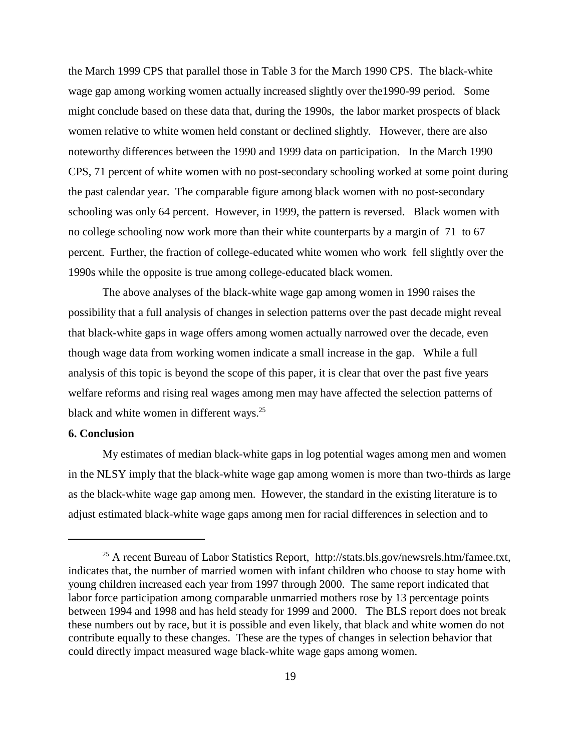the March 1999 CPS that parallel those in Table 3 for the March 1990 CPS. The black-white wage gap among working women actually increased slightly over the1990-99 period. Some might conclude based on these data that, during the 1990s, the labor market prospects of black women relative to white women held constant or declined slightly. However, there are also noteworthy differences between the 1990 and 1999 data on participation. In the March 1990 CPS, 71 percent of white women with no post-secondary schooling worked at some point during the past calendar year. The comparable figure among black women with no post-secondary schooling was only 64 percent. However, in 1999, the pattern is reversed. Black women with no college schooling now work more than their white counterparts by a margin of 71 to 67 percent. Further, the fraction of college-educated white women who work fell slightly over the 1990s while the opposite is true among college-educated black women.

The above analyses of the black-white wage gap among women in 1990 raises the possibility that a full analysis of changes in selection patterns over the past decade might reveal that black-white gaps in wage offers among women actually narrowed over the decade, even though wage data from working women indicate a small increase in the gap. While a full analysis of this topic is beyond the scope of this paper, it is clear that over the past five years welfare reforms and rising real wages among men may have affected the selection patterns of black and white women in different ways. $25$ 

#### **6. Conclusion**

My estimates of median black-white gaps in log potential wages among men and women in the NLSY imply that the black-white wage gap among women is more than two-thirds as large as the black-white wage gap among men. However, the standard in the existing literature is to adjust estimated black-white wage gaps among men for racial differences in selection and to

<sup>&</sup>lt;sup>25</sup> A recent Bureau of Labor Statistics Report, http://stats.bls.gov/newsrels.htm/famee.txt, indicates that, the number of married women with infant children who choose to stay home with young children increased each year from 1997 through 2000. The same report indicated that labor force participation among comparable unmarried mothers rose by 13 percentage points between 1994 and 1998 and has held steady for 1999 and 2000. The BLS report does not break these numbers out by race, but it is possible and even likely, that black and white women do not contribute equally to these changes. These are the types of changes in selection behavior that could directly impact measured wage black-white wage gaps among women.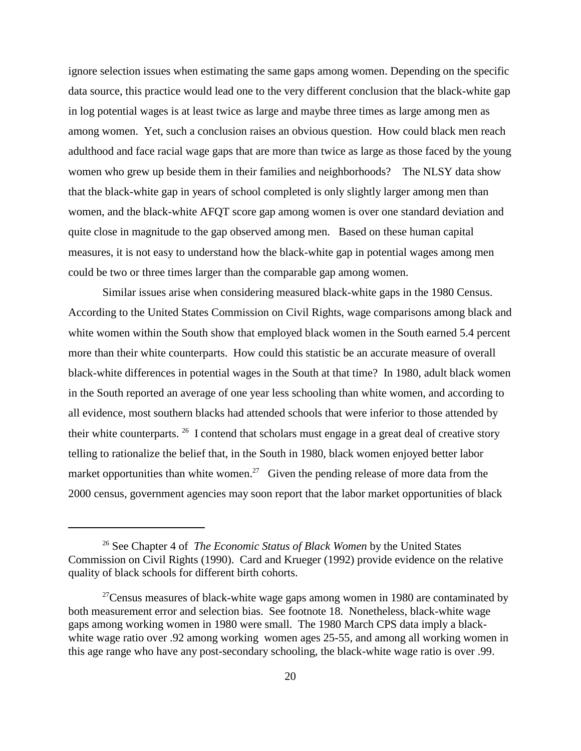ignore selection issues when estimating the same gaps among women. Depending on the specific data source, this practice would lead one to the very different conclusion that the black-white gap in log potential wages is at least twice as large and maybe three times as large among men as among women. Yet, such a conclusion raises an obvious question. How could black men reach adulthood and face racial wage gaps that are more than twice as large as those faced by the young women who grew up beside them in their families and neighborhoods? The NLSY data show that the black-white gap in years of school completed is only slightly larger among men than women, and the black-white AFQT score gap among women is over one standard deviation and quite close in magnitude to the gap observed among men. Based on these human capital measures, it is not easy to understand how the black-white gap in potential wages among men could be two or three times larger than the comparable gap among women.

Similar issues arise when considering measured black-white gaps in the 1980 Census. According to the United States Commission on Civil Rights, wage comparisons among black and white women within the South show that employed black women in the South earned 5.4 percent more than their white counterparts. How could this statistic be an accurate measure of overall black-white differences in potential wages in the South at that time? In 1980, adult black women in the South reported an average of one year less schooling than white women, and according to all evidence, most southern blacks had attended schools that were inferior to those attended by their white counterparts. 26 I contend that scholars must engage in a great deal of creative story telling to rationalize the belief that, in the South in 1980, black women enjoyed better labor market opportunities than white women.<sup>27</sup> Given the pending release of more data from the 2000 census, government agencies may soon report that the labor market opportunities of black

<sup>26</sup> See Chapter 4 of *The Economic Status of Black Women* by the United States Commission on Civil Rights (1990). Card and Krueger (1992) provide evidence on the relative quality of black schools for different birth cohorts.

 $27$ Census measures of black-white wage gaps among women in 1980 are contaminated by both measurement error and selection bias. See footnote 18. Nonetheless, black-white wage gaps among working women in 1980 were small. The 1980 March CPS data imply a blackwhite wage ratio over .92 among working women ages 25-55, and among all working women in this age range who have any post-secondary schooling, the black-white wage ratio is over .99.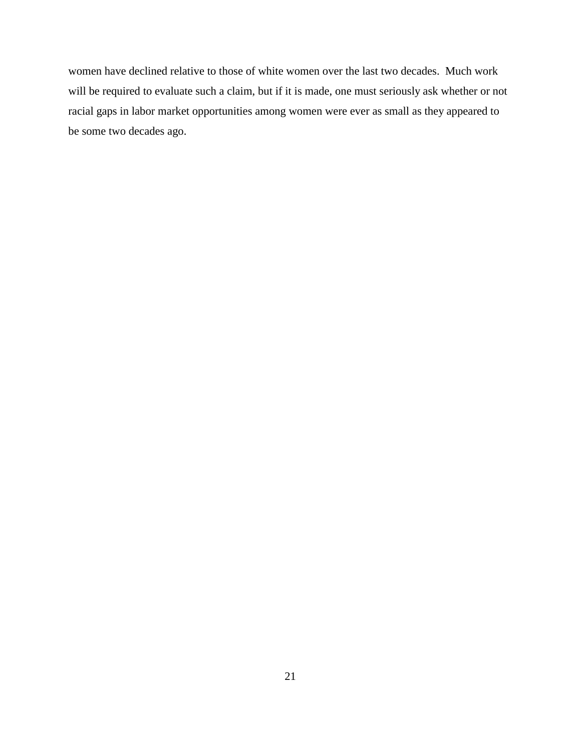women have declined relative to those of white women over the last two decades. Much work will be required to evaluate such a claim, but if it is made, one must seriously ask whether or not racial gaps in labor market opportunities among women were ever as small as they appeared to be some two decades ago.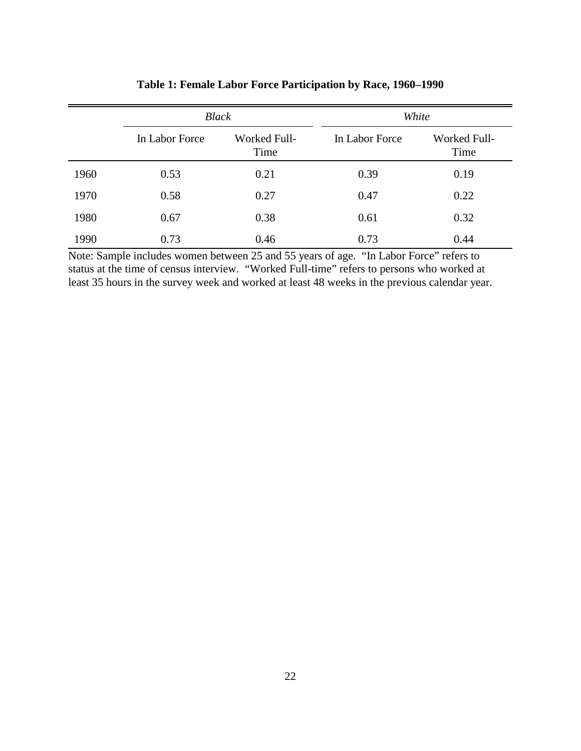|      | <b>Black</b>   |                      | White          |                             |  |  |
|------|----------------|----------------------|----------------|-----------------------------|--|--|
|      | In Labor Force | Worked Full-<br>Time | In Labor Force | <b>Worked Full-</b><br>Time |  |  |
| 1960 | 0.53           | 0.21                 | 0.39           | 0.19                        |  |  |
| 1970 | 0.58           | 0.27                 | 0.47           | 0.22                        |  |  |
| 1980 | 0.67           | 0.38                 | 0.61           | 0.32                        |  |  |
| 1990 | 0.73           | 0.46                 | 0.73           | 0.44                        |  |  |

**Table 1: Female Labor Force Participation by Race, 1960–1990**

Note: Sample includes women between 25 and 55 years of age. "In Labor Force" refers to status at the time of census interview. "Worked Full-time" refers to persons who worked at least 35 hours in the survey week and worked at least 48 weeks in the previous calendar year.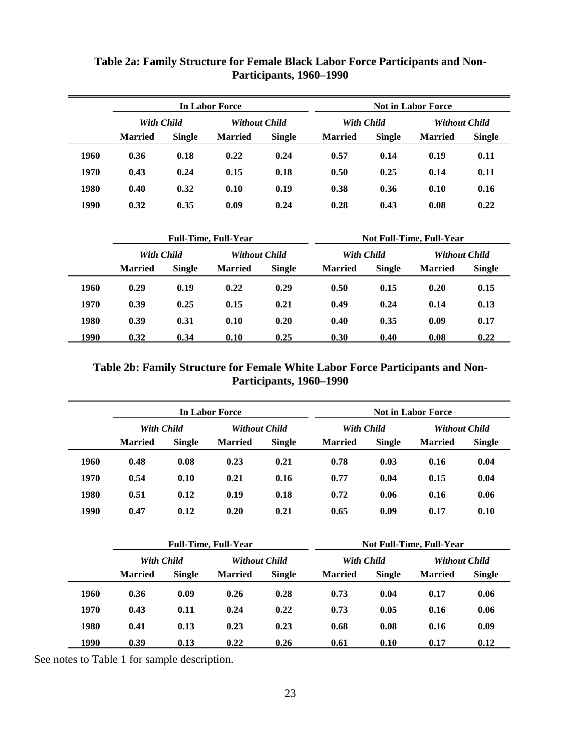|      |                             |               | <b>In Labor Force</b> |               | <b>Not in Labor Force</b>       |               |                      |               |  |
|------|-----------------------------|---------------|-----------------------|---------------|---------------------------------|---------------|----------------------|---------------|--|
|      | With Child                  |               | <b>Without Child</b>  |               | With Child                      |               | <b>Without Child</b> |               |  |
|      | <b>Married</b>              | <b>Single</b> | <b>Married</b>        | <b>Single</b> | <b>Married</b>                  | <b>Single</b> | <b>Married</b>       | <b>Single</b> |  |
| 1960 | 0.36                        | 0.18          | 0.22                  | 0.24          | 0.57                            | 0.14          | 0.19                 | 0.11          |  |
| 1970 | 0.43                        | 0.24          | 0.15                  | 0.18          | 0.50                            | 0.25          | 0.14                 | 0.11          |  |
| 1980 | 0.40                        | 0.32          | 0.10                  | 0.19          | 0.38                            | 0.36          | 0.10                 | 0.16          |  |
| 1990 | 0.32                        | 0.35          | 0.09                  | 0.24          | 0.28                            | 0.43          | 0.08                 | 0.22          |  |
|      | <b>Full-Time, Full-Year</b> |               |                       |               | <b>Not Full-Time, Full-Year</b> |               |                      |               |  |
|      | <b>With Child</b>           |               | <b>Without Child</b>  |               | <b>With Child</b>               |               | <b>Without Child</b> |               |  |
|      | <b>Married</b>              | <b>Single</b> | <b>Married</b>        | <b>Single</b> | <b>Married</b>                  | <b>Single</b> | <b>Married</b>       | <b>Single</b> |  |
| 1960 | 0.29                        | 0.19          | 0.22                  | 0.29          | 0.50                            | 0.15          | 0.20                 | 0.15          |  |
| 1970 | 0.39                        | 0.25          | 0.15                  | 0.21          | 0.49                            | 0.24          | 0.14                 | 0.13          |  |
| 1980 | 0.39                        | 0.31          | 0.10                  | 0.20          | 0.40                            | 0.35          | 0.09                 | 0.17          |  |
| 1990 | 0.32                        | 0.34          | 0.10                  | 0.25          | 0.30                            | 0.40          | 0.08                 | 0.22          |  |

## **Table 2a: Family Structure for Female Black Labor Force Participants and Non-Participants, 1960–1990**

**Table 2b: Family Structure for Female White Labor Force Participants and Non-Participants, 1960–1990**

|      |                |               | In Labor Force       |               | <b>Not in Labor Force</b> |               |                      |               |  |
|------|----------------|---------------|----------------------|---------------|---------------------------|---------------|----------------------|---------------|--|
|      | With Child     |               | <b>Without Child</b> |               | With Child                |               | <b>Without Child</b> |               |  |
|      | <b>Married</b> | <b>Single</b> | <b>Married</b>       | <b>Single</b> | <b>Married</b>            | <b>Single</b> | <b>Married</b>       | <b>Single</b> |  |
| 1960 | 0.48           | 0.08          | 0.23                 | 0.21          | 0.78                      | 0.03          | 0.16                 | 0.04          |  |
| 1970 | 0.54           | 0.10          | 0.21                 | 0.16          | 0.77                      | 0.04          | 0.15                 | 0.04          |  |
| 1980 | 0.51           | 0.12          | 0.19                 | 0.18          | 0.72                      | 0.06          | 0.16                 | 0.06          |  |
| 1990 | 0.47           | 0.12          | 0.20                 | 0.21          | 0.65                      | 0.09          | 0.17                 | 0.10          |  |

|      |                   |               | <b>Full-Time, Full-Year</b> |                      | <b>Not Full-Time, Full-Year</b> |               |                |                      |  |
|------|-------------------|---------------|-----------------------------|----------------------|---------------------------------|---------------|----------------|----------------------|--|
|      | <b>With Child</b> |               |                             | <b>Without Child</b> |                                 | With Child    |                | <b>Without Child</b> |  |
|      | <b>Married</b>    | <b>Single</b> | <b>Married</b>              | <b>Single</b>        | <b>Married</b>                  | <b>Single</b> | <b>Married</b> | <b>Single</b>        |  |
| 1960 | 0.36              | 0.09          | 0.26                        | 0.28                 | 0.73                            | 0.04          | 0.17           | 0.06                 |  |
| 1970 | 0.43              | 0.11          | 0.24                        | 0.22                 | 0.73                            | 0.05          | 0.16           | 0.06                 |  |
| 1980 | 0.41              | 0.13          | 0.23                        | 0.23                 | 0.68                            | 0.08          | 0.16           | 0.09                 |  |
| 1990 | 0.39              | 0.13          | 0.22                        | 0.26                 | 0.61                            | 0.10          | 0.17           | 0.12                 |  |

See notes to Table 1 for sample description.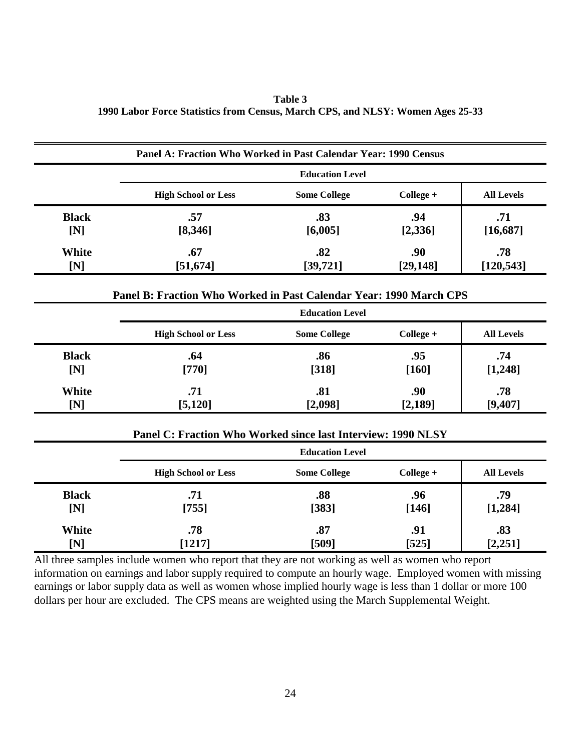**Table 3 1990 Labor Force Statistics from Census, March CPS, and NLSY: Women Ages 25-33**

|                     | Panel A: Fraction Who Worked in Past Calendar Year: 1990 Census    |                        |                  |                   |
|---------------------|--------------------------------------------------------------------|------------------------|------------------|-------------------|
|                     |                                                                    | <b>Education Level</b> |                  |                   |
|                     | <b>High School or Less</b>                                         | <b>Some College</b>    | College +        | <b>All Levels</b> |
| <b>Black</b><br>[N] | .57<br>[8,346]                                                     | .83<br>[6,005]         | .94<br>[2,336]   | .71<br>[16, 687]  |
| White<br>[N]        | .67<br>[51, 674]                                                   | .82<br>[39, 721]       | .90<br>[29, 148] | .78<br>[120, 543] |
|                     | Panel B: Fraction Who Worked in Past Calendar Year: 1990 March CPS |                        |                  |                   |
|                     |                                                                    | <b>Education Level</b> |                  |                   |
|                     | <b>High School or Less</b>                                         | <b>Some College</b>    | College +        | <b>All Levels</b> |
| <b>Black</b><br>[N] | .64<br>$[770]$                                                     | .86<br>[318]           | .95<br>[160]     | .74<br>[1, 248]   |
| White<br>[N]        | .71<br>[5, 120]                                                    | .81<br>[2,098]         | .90<br>[2,189]   | .78<br>[9,407]    |
|                     | Panel C: Fraction Who Worked since last Interview: 1990 NLSY       |                        |                  |                   |
|                     |                                                                    | <b>Education Level</b> |                  |                   |
|                     | <b>High School or Less</b>                                         | <b>Some College</b>    | College +        | <b>All Levels</b> |
| <b>Black</b><br>[N] | .71<br>[755]                                                       | .88<br>[383]           | .96<br>[146]     | .79<br>[1,284]    |
| White<br>[N]        | .78<br>[1217]                                                      | .87<br>[509]           | .91<br>[525]     | .83<br>[2,251]    |

All three samples include women who report that they are not working as well as women who report information on earnings and labor supply required to compute an hourly wage. Employed women with missing earnings or labor supply data as well as women whose implied hourly wage is less than 1 dollar or more 100 dollars per hour are excluded.The CPS means are weighted using the March Supplemental Weight.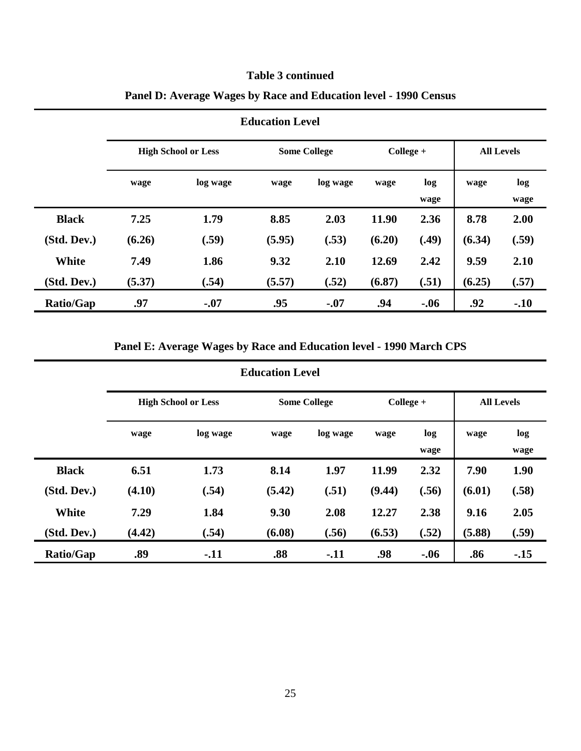## **Table 3 continued**

|                  | <b>High School or Less</b> |          |        | <b>Some College</b> |        | $Collect +$ |        | <b>All Levels</b> |  |
|------------------|----------------------------|----------|--------|---------------------|--------|-------------|--------|-------------------|--|
|                  | wage                       | log wage | wage   | log wage            | wage   | log<br>wage | wage   | log<br>wage       |  |
| <b>Black</b>     | 7.25                       | 1.79     | 8.85   | 2.03                | 11.90  | 2.36        | 8.78   | 2.00              |  |
| (Std. Dev.)      | (6.26)                     | (.59)    | (5.95) | (.53)               | (6.20) | (.49)       | (6.34) | (.59)             |  |
| White            | 7.49                       | 1.86     | 9.32   | 2.10                | 12.69  | 2.42        | 9.59   | 2.10              |  |
| (Std. Dev.)      | (5.37)                     | (.54)    | (5.57) | (.52)               | (6.87) | (.51)       | (6.25) | (.57)             |  |
| <b>Ratio/Gap</b> | .97                        | $-.07$   | .95    | $-.07$              | .94    | $-0.06$     | .92    | $-.10$            |  |

## **Panel D: Average Wages by Race and Education level - 1990 Census**

## **Panel E: Average Wages by Race and Education level - 1990 March CPS**

|                  | <b>High School or Less</b> |          | <b>Some College</b> |          | $Collect +$ |             | <b>All Levels</b> |             |
|------------------|----------------------------|----------|---------------------|----------|-------------|-------------|-------------------|-------------|
|                  | wage                       | log wage | wage                | log wage | wage        | log<br>wage | wage              | log<br>wage |
| <b>Black</b>     | 6.51                       | 1.73     | 8.14                | 1.97     | 11.99       | 2.32        | 7.90              | 1.90        |
| (Std. Dev.)      | (4.10)                     | (.54)    | (5.42)              | (.51)    | (9.44)      | (.56)       | (6.01)            | (.58)       |
| White            | 7.29                       | 1.84     | 9.30                | 2.08     | 12.27       | 2.38        | 9.16              | 2.05        |
| (Std. Dev.)      | (4.42)                     | (.54)    | (6.08)              | (.56)    | (6.53)      | (.52)       | (5.88)            | (.59)       |
| <b>Ratio/Gap</b> | .89                        | $-.11$   | .88                 | $-.11$   | .98         | $-.06$      | .86               | $-15$       |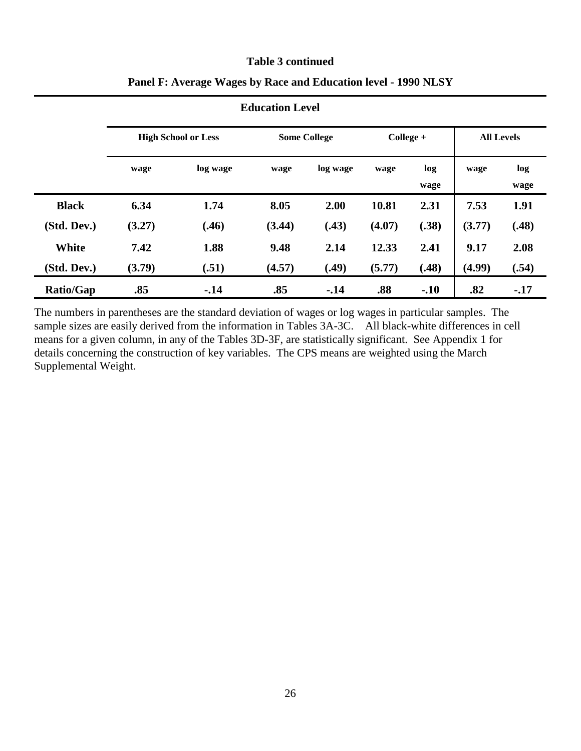#### **Table 3 continued**

| <b>Education Level</b> |                            |          |                     |          |             |             |                   |             |  |  |
|------------------------|----------------------------|----------|---------------------|----------|-------------|-------------|-------------------|-------------|--|--|
|                        | <b>High School or Less</b> |          | <b>Some College</b> |          | $Collect +$ |             | <b>All Levels</b> |             |  |  |
|                        | wage                       | log wage | wage                | log wage | wage        | log<br>wage | wage              | log<br>wage |  |  |
| <b>Black</b>           | 6.34                       | 1.74     | 8.05                | 2.00     | 10.81       | 2.31        | 7.53              | 1.91        |  |  |
| (Std. Dev.)            | (3.27)                     | (.46)    | (3.44)              | (.43)    | (4.07)      | (.38)       | (3.77)            | (.48)       |  |  |
| <b>White</b>           | 7.42                       | 1.88     | 9.48                | 2.14     | 12.33       | 2.41        | 9.17              | 2.08        |  |  |
| (Std. Dev.)            | (3.79)                     | (.51)    | (4.57)              | (.49)    | (5.77)      | (.48)       | (4.99)            | (.54)       |  |  |
| <b>Ratio/Gap</b>       | .85                        | $-14$    | .85                 | $-.14$   | .88         | $-.10$      | .82               | $-17$       |  |  |

## **Panel F: Average Wages by Race and Education level - 1990 NLSY**

The numbers in parentheses are the standard deviation of wages or log wages in particular samples. The sample sizes are easily derived from the information in Tables 3A-3C. All black-white differences in cell means for a given column, in any of the Tables 3D-3F, are statistically significant. See Appendix 1 for details concerning the construction of key variables. The CPS means are weighted using the March Supplemental Weight.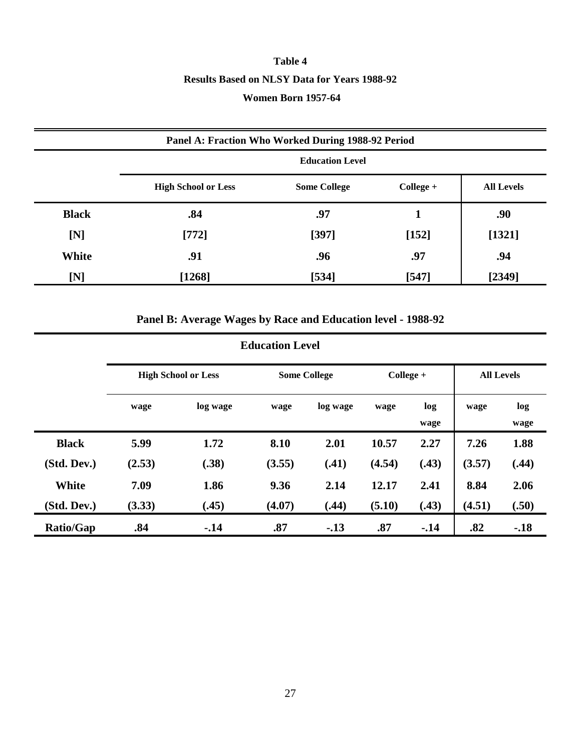# **Table 4 Results Based on NLSY Data for Years 1988-92 Women Born 1957-64**

|              | Panel A: Fraction Who Worked During 1988-92 Period |                     |             |                   |  |  |  |  |  |  |
|--------------|----------------------------------------------------|---------------------|-------------|-------------------|--|--|--|--|--|--|
|              | <b>Education Level</b>                             |                     |             |                   |  |  |  |  |  |  |
|              | <b>High School or Less</b>                         | <b>Some College</b> | $Collect +$ | <b>All Levels</b> |  |  |  |  |  |  |
| <b>Black</b> | .84                                                | .97                 |             | .90               |  |  |  |  |  |  |
| [N]          | $[772]$                                            | $[397]$             | [152]       | [1321]            |  |  |  |  |  |  |
| White        | .91                                                | .96                 | .97         | .94               |  |  |  |  |  |  |
| [N]          | $[1268]$                                           | [534]               | $[547]$     | [2349]            |  |  |  |  |  |  |

## **Panel B: Average Wages by Race and Education level - 1988-92**

#### **Education Level High School or Less Some College + College + All Levels wage log wage wage log wage wage log wage wage log wage Black (Std. Dev.) 5.99 (2.53) 1.72 (.38) 8.10 (3.55) 2.01 (.41) 10.57 (4.54) 2.27 (.43) 7.26 (3.57) 1.88 (.44) White (Std. Dev.) 7.09 (3.33) 1.86 (.45) 9.36 (4.07) 2.14 (.44) 12.17 (5.10) 2.41 (.43) 8.84 (4.51) 2.06 (.50) Ratio/Gap .84 -.14 .87 -.13 .87 -.14 .82 -.18**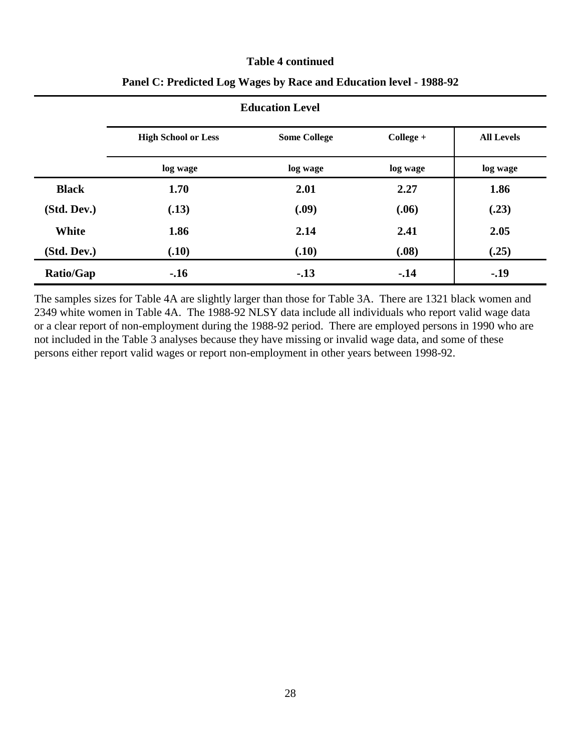#### **Table 4 continued**

|              | <b>Education Level</b>     |                     |             |                   |  |  |  |  |  |  |
|--------------|----------------------------|---------------------|-------------|-------------------|--|--|--|--|--|--|
|              | <b>High School or Less</b> | <b>Some College</b> | $Collect +$ | <b>All Levels</b> |  |  |  |  |  |  |
|              | log wage                   | log wage            | log wage    | log wage          |  |  |  |  |  |  |
| <b>Black</b> | 1.70                       | 2.01                | 2.27        | 1.86              |  |  |  |  |  |  |
| (Std. Dev.)  | (.13)                      | (.09)               | (.06)       | (.23)             |  |  |  |  |  |  |
| White        | 1.86                       | 2.14                | 2.41        | 2.05              |  |  |  |  |  |  |
| (Std. Dev.)  | (.10)                      | (.10)               | (.08)       | (.25)             |  |  |  |  |  |  |
| Ratio/Gap    | $-.16$                     | $-.13$              | $-14$       | $-.19$            |  |  |  |  |  |  |

## **Panel C: Predicted Log Wages by Race and Education level - 1988-92**

The samples sizes for Table 4A are slightly larger than those for Table 3A. There are 1321 black women and 2349 white women in Table 4A. The 1988-92 NLSY data include all individuals who report valid wage data or a clear report of non-employment during the 1988-92 period. There are employed persons in 1990 who are not included in the Table 3 analyses because they have missing or invalid wage data, and some of these persons either report valid wages or report non-employment in other years between 1998-92.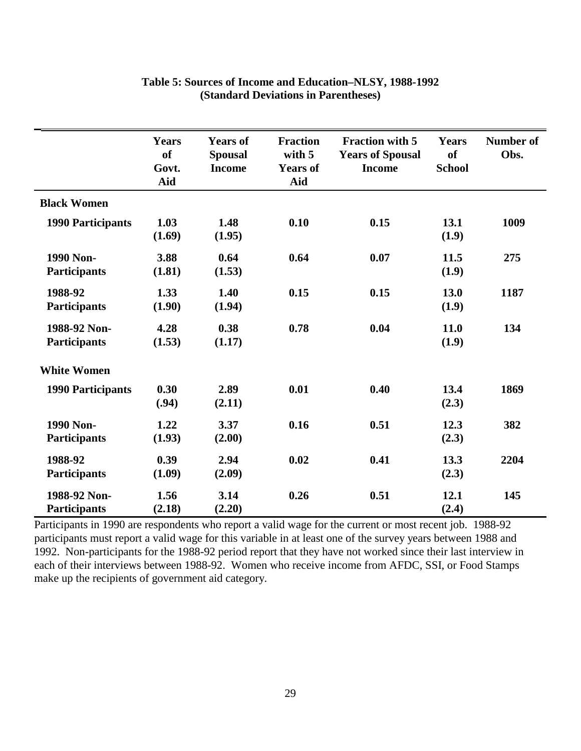|                                     | <b>Years</b><br><sub>of</sub><br>Govt.<br>Aid | <b>Years of</b><br><b>Spousal</b><br><b>Income</b> | <b>Fraction</b><br>with 5<br><b>Years of</b><br>Aid | <b>Fraction with 5</b><br><b>Years of Spousal</b><br><b>Income</b> | <b>Years</b><br><b>of</b><br><b>School</b> | <b>Number of</b><br>Obs. |
|-------------------------------------|-----------------------------------------------|----------------------------------------------------|-----------------------------------------------------|--------------------------------------------------------------------|--------------------------------------------|--------------------------|
| <b>Black Women</b>                  |                                               |                                                    |                                                     |                                                                    |                                            |                          |
| <b>1990 Participants</b>            | 1.03<br>(1.69)                                | 1.48<br>(1.95)                                     | 0.10                                                | 0.15                                                               | 13.1<br>(1.9)                              | 1009                     |
| 1990 Non-<br><b>Participants</b>    | 3.88<br>(1.81)                                | 0.64<br>(1.53)                                     | 0.64                                                | 0.07                                                               | 11.5<br>(1.9)                              | 275                      |
| 1988-92<br><b>Participants</b>      | 1.33<br>(1.90)                                | 1.40<br>(1.94)                                     | 0.15                                                | 0.15                                                               | 13.0<br>(1.9)                              | 1187                     |
| 1988-92 Non-<br><b>Participants</b> | 4.28<br>(1.53)                                | 0.38<br>(1.17)                                     | 0.78                                                | 0.04                                                               | 11.0<br>(1.9)                              | 134                      |
| <b>White Women</b>                  |                                               |                                                    |                                                     |                                                                    |                                            |                          |
| <b>1990 Participants</b>            | 0.30<br>(.94)                                 | 2.89<br>(2.11)                                     | 0.01                                                | 0.40                                                               | 13.4<br>(2.3)                              | 1869                     |
| 1990 Non-<br><b>Participants</b>    | 1.22<br>(1.93)                                | 3.37<br>(2.00)                                     | 0.16                                                | 0.51                                                               | 12.3<br>(2.3)                              | 382                      |
| 1988-92<br>Participants             | 0.39<br>(1.09)                                | 2.94<br>(2.09)                                     | 0.02                                                | 0.41                                                               | 13.3<br>(2.3)                              | 2204                     |
| 1988-92 Non-<br><b>Participants</b> | 1.56<br>(2.18)                                | 3.14<br>(2.20)                                     | 0.26                                                | 0.51                                                               | 12.1<br>(2.4)                              | 145                      |

## **Table 5: Sources of Income and Education–NLSY, 1988-1992 (Standard Deviations in Parentheses)**

Participants in 1990 are respondents who report a valid wage for the current or most recent job. 1988-92 participants must report a valid wage for this variable in at least one of the survey years between 1988 and 1992. Non-participants for the 1988-92 period report that they have not worked since their last interview in each of their interviews between 1988-92. Women who receive income from AFDC, SSI, or Food Stamps make up the recipients of government aid category.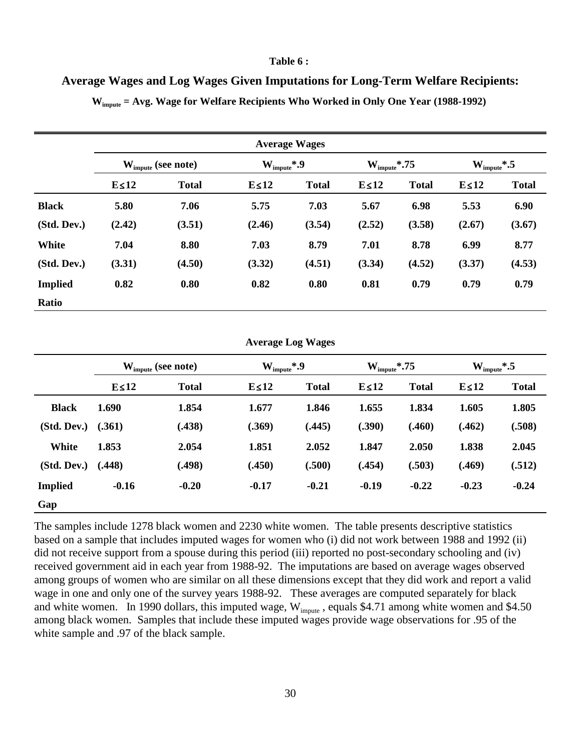#### **Table 6 :**

**Average Wages and Log Wages Given Imputations for Long-Term Welfare Recipients:**

|                |                                | <b>Average Wages</b> |             |                          |             |                           |             |                          |  |  |  |  |
|----------------|--------------------------------|----------------------|-------------|--------------------------|-------------|---------------------------|-------------|--------------------------|--|--|--|--|
|                | $W_{\text{impute}}$ (see note) |                      |             | $W_{\text{impute}}^*$ .9 |             | $W_{\text{impute}}^*$ .75 |             | $W_{\text{impute}}^*$ .5 |  |  |  |  |
|                | $E \leq 12$                    | <b>Total</b>         | $E \leq 12$ | <b>Total</b>             | $E \leq 12$ | <b>Total</b>              | $E \leq 12$ | <b>Total</b>             |  |  |  |  |
| <b>Black</b>   | 5.80                           | 7.06                 | 5.75        | 7.03                     | 5.67        | 6.98                      | 5.53        | 6.90                     |  |  |  |  |
| (Std. Dev.)    | (2.42)                         | (3.51)               | (2.46)      | (3.54)                   | (2.52)      | (3.58)                    | (2.67)      | (3.67)                   |  |  |  |  |
| <b>White</b>   | 7.04                           | 8.80                 | 7.03        | 8.79                     | 7.01        | 8.78                      | 6.99        | 8.77                     |  |  |  |  |
| (Std. Dev.)    | (3.31)                         | (4.50)               | (3.32)      | (4.51)                   | (3.34)      | (4.52)                    | (3.37)      | (4.53)                   |  |  |  |  |
| <b>Implied</b> | 0.82                           | 0.80                 | 0.82        | 0.80                     | 0.81        | 0.79                      | 0.79        | 0.79                     |  |  |  |  |
| Ratio          |                                |                      |             |                          |             |                           |             |                          |  |  |  |  |

**Wimpute = Avg. Wage for Welfare Recipients Who Worked in Only One Year (1988-1992)** 

| <b>Average Log Wages</b> |  |  |
|--------------------------|--|--|
|--------------------------|--|--|

|                | $W_{\text{impute}}$ (see note) |              | $W_{\text{impute}}^*$ .9 |              | $W_{\text{impute}}^*$ .75 |              | $W_{\text{impute}}^*$ .5 |              |  |
|----------------|--------------------------------|--------------|--------------------------|--------------|---------------------------|--------------|--------------------------|--------------|--|
|                | $E \le 12$                     | <b>Total</b> | $E \le 12$               | <b>Total</b> | $E \le 12$                | <b>Total</b> | $E \le 12$               | <b>Total</b> |  |
| <b>Black</b>   | 1.690                          | 1.854        | 1.677                    | 1.846        | 1.655                     | 1.834        | 1.605                    | 1.805        |  |
| (Std. Dev.)    | (.361)                         | (.438)       | (.369)                   | (.445)       | (.390)                    | (.460)       | (.462)                   | (.508)       |  |
| White          | 1.853                          | 2.054        | 1.851                    | 2.052        | 1.847                     | 2.050        | 1.838                    | 2.045        |  |
| (Std. Dev.)    | (.448)                         | (.498)       | (.450)                   | (.500)       | (.454)                    | (.503)       | (.469)                   | (.512)       |  |
| <b>Implied</b> | $-0.16$                        | $-0.20$      | $-0.17$                  | $-0.21$      | $-0.19$                   | $-0.22$      | $-0.23$                  | $-0.24$      |  |
| Gap            |                                |              |                          |              |                           |              |                          |              |  |

The samples include 1278 black women and 2230 white women. The table presents descriptive statistics based on a sample that includes imputed wages for women who (i) did not work between 1988 and 1992 (ii) did not receive support from a spouse during this period (iii) reported no post-secondary schooling and (iv) received government aid in each year from 1988-92. The imputations are based on average wages observed among groups of women who are similar on all these dimensions except that they did work and report a valid wage in one and only one of the survey years 1988-92. These averages are computed separately for black and white women. In 1990 dollars, this imputed wage,  $W_{\text{impute}}$ , equals \$4.71 among white women and \$4.50 among black women. Samples that include these imputed wages provide wage observations for .95 of the white sample and .97 of the black sample.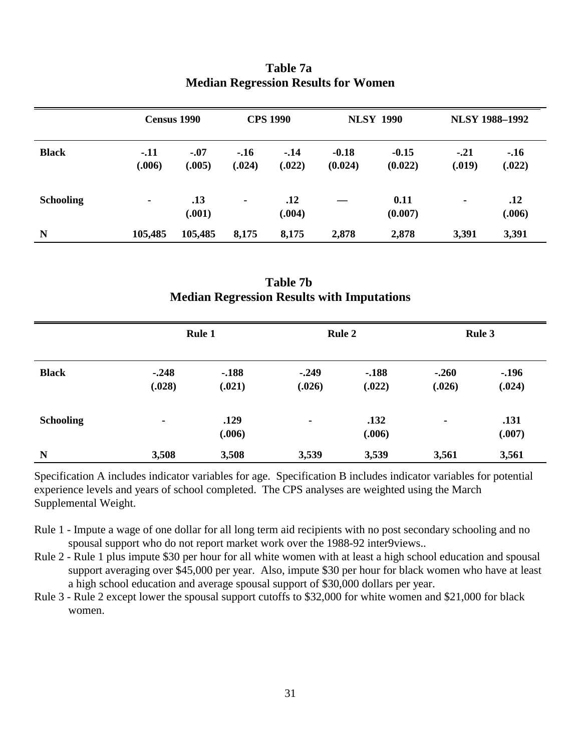|                  | Census 1990      |                  | <b>CPS 1990</b>  |                  |                    | <b>NLSY 1990</b>   | <b>NLSY 1988-1992</b> |                  |  |
|------------------|------------------|------------------|------------------|------------------|--------------------|--------------------|-----------------------|------------------|--|
| <b>Black</b>     | $-.11$<br>(.006) | $-.07$<br>(.005) | $-.16$<br>(.024) | $-.14$<br>(.022) | $-0.18$<br>(0.024) | $-0.15$<br>(0.022) | $-.21$<br>(.019)      | $-.16$<br>(.022) |  |
| <b>Schooling</b> | ٠                | .13<br>(.001)    | $\blacksquare$   | .12<br>(.004)    |                    | 0.11<br>(0.007)    | $\blacksquare$        | .12<br>(.006)    |  |
| N                | 105,485          | 105,485          | 8,175            | 8,175            | 2,878              | 2,878              | 3,391                 | 3,391            |  |

## **Table 7a Median Regression Results for Women**

**Table 7b Median Regression Results with Imputations**

|                  |                   | <b>Rule 1</b>    |                   | <b>Rule 2</b>    | <b>Rule 3</b>     |                   |  |
|------------------|-------------------|------------------|-------------------|------------------|-------------------|-------------------|--|
| <b>Black</b>     | $-.248$<br>(.028) | $-188$<br>(.021) | $-.249$<br>(.026) | $-188$<br>(.022) | $-.260$<br>(.026) | $-.196$<br>(.024) |  |
| <b>Schooling</b> | $\blacksquare$    | .129<br>(.006)   | ٠                 | .132<br>(.006)   | ٠                 | .131<br>(.007)    |  |
| N                | 3,508             | 3,508            | 3,539             | 3,539            | 3,561             | 3,561             |  |

Specification A includes indicator variables for age. Specification B includes indicator variables for potential experience levels and years of school completed. The CPS analyses are weighted using the March Supplemental Weight.

- Rule 1 Impute a wage of one dollar for all long term aid recipients with no post secondary schooling and no spousal support who do not report market work over the 1988-92 inter9views..
- Rule 2 Rule 1 plus impute \$30 per hour for all white women with at least a high school education and spousal support averaging over \$45,000 per year. Also, impute \$30 per hour for black women who have at least a high school education and average spousal support of \$30,000 dollars per year.
- Rule 3 Rule 2 except lower the spousal support cutoffs to \$32,000 for white women and \$21,000 for black women.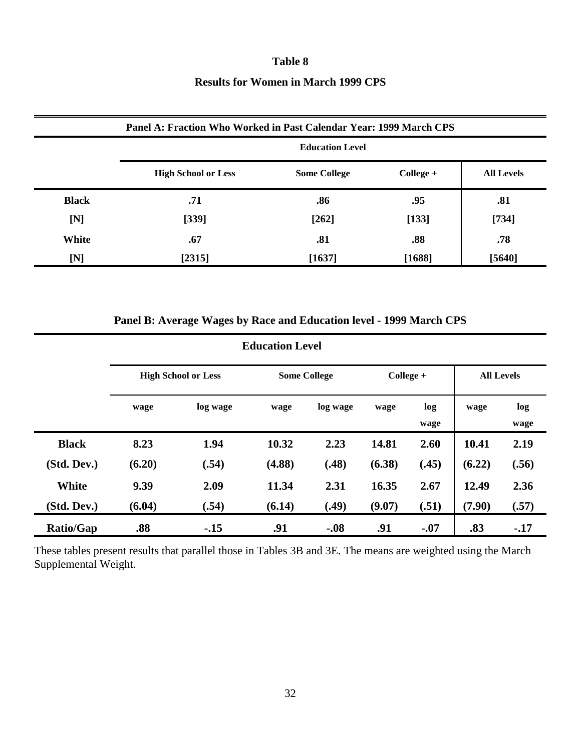#### **Table 8**

## **Results for Women in March 1999 CPS**

|              | Panel A: Fraction Who Worked in Past Calendar Year: 1999 March CPS |                        |             |                   |  |  |  |  |  |  |  |
|--------------|--------------------------------------------------------------------|------------------------|-------------|-------------------|--|--|--|--|--|--|--|
|              |                                                                    | <b>Education Level</b> |             |                   |  |  |  |  |  |  |  |
|              | <b>High School or Less</b>                                         | <b>Some College</b>    | $Collect +$ | <b>All Levels</b> |  |  |  |  |  |  |  |
| <b>Black</b> | .71                                                                | .86                    | .95         | .81               |  |  |  |  |  |  |  |
| [N]          | [339]                                                              | $[262]$                | [133]       | $[734]$           |  |  |  |  |  |  |  |
| White        | .67                                                                | .81                    | .88         | .78               |  |  |  |  |  |  |  |
| [N]          | [2315]                                                             | [1637]                 | $[1688]$    | [5640]            |  |  |  |  |  |  |  |

## **Panel B: Average Wages by Race and Education level - 1999 March CPS**

| <b>Education Level</b> |        |                            |        |                     |        |             |                   |             |  |  |  |  |
|------------------------|--------|----------------------------|--------|---------------------|--------|-------------|-------------------|-------------|--|--|--|--|
|                        |        | <b>High School or Less</b> |        | <b>Some College</b> |        | College +   | <b>All Levels</b> |             |  |  |  |  |
|                        | wage   | log wage                   | wage   | log wage            | wage   | log<br>wage | wage              | log<br>wage |  |  |  |  |
| <b>Black</b>           | 8.23   | 1.94                       | 10.32  | 2.23                | 14.81  | 2.60        | 10.41             | 2.19        |  |  |  |  |
| (Std. Dev.)            | (6.20) | (.54)                      | (4.88) | (.48)               | (6.38) | (.45)       | (6.22)            | (.56)       |  |  |  |  |
| <b>White</b>           | 9.39   | 2.09                       | 11.34  | 2.31                | 16.35  | 2.67        | 12.49             | 2.36        |  |  |  |  |
| (Std. Dev.)            | (6.04) | (.54)                      | (6.14) | (.49)               | (9.07) | (.51)       | (7.90)            | (.57)       |  |  |  |  |
| <b>Ratio/Gap</b>       | .88    | $-15$                      | .91    | $-.08$              | .91    | $-.07$      | .83               | $-17$       |  |  |  |  |

These tables present results that parallel those in Tables 3B and 3E. The means are weighted using the March Supplemental Weight.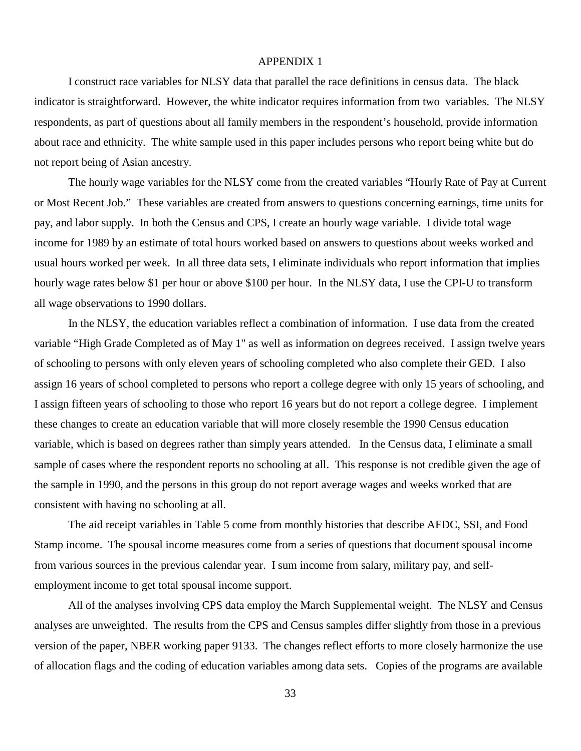#### APPENDIX 1

I construct race variables for NLSY data that parallel the race definitions in census data. The black indicator is straightforward. However, the white indicator requires information from two variables. The NLSY respondents, as part of questions about all family members in the respondent's household, provide information about race and ethnicity. The white sample used in this paper includes persons who report being white but do not report being of Asian ancestry.

The hourly wage variables for the NLSY come from the created variables "Hourly Rate of Pay at Current or Most Recent Job." These variables are created from answers to questions concerning earnings, time units for pay, and labor supply. In both the Census and CPS, I create an hourly wage variable. I divide total wage income for 1989 by an estimate of total hours worked based on answers to questions about weeks worked and usual hours worked per week. In all three data sets, I eliminate individuals who report information that implies hourly wage rates below \$1 per hour or above \$100 per hour. In the NLSY data, I use the CPI-U to transform all wage observations to 1990 dollars.

In the NLSY, the education variables reflect a combination of information. I use data from the created variable "High Grade Completed as of May 1" as well as information on degrees received. I assign twelve years of schooling to persons with only eleven years of schooling completed who also complete their GED. I also assign 16 years of school completed to persons who report a college degree with only 15 years of schooling, and I assign fifteen years of schooling to those who report 16 years but do not report a college degree. I implement these changes to create an education variable that will more closely resemble the 1990 Census education variable, which is based on degrees rather than simply years attended. In the Census data, I eliminate a small sample of cases where the respondent reports no schooling at all. This response is not credible given the age of the sample in 1990, and the persons in this group do not report average wages and weeks worked that are consistent with having no schooling at all.

The aid receipt variables in Table 5 come from monthly histories that describe AFDC, SSI, and Food Stamp income. The spousal income measures come from a series of questions that document spousal income from various sources in the previous calendar year. I sum income from salary, military pay, and selfemployment income to get total spousal income support.

All of the analyses involving CPS data employ the March Supplemental weight. The NLSY and Census analyses are unweighted. The results from the CPS and Census samples differ slightly from those in a previous version of the paper, NBER working paper 9133. The changes reflect efforts to more closely harmonize the use of allocation flags and the coding of education variables among data sets. Copies of the programs are available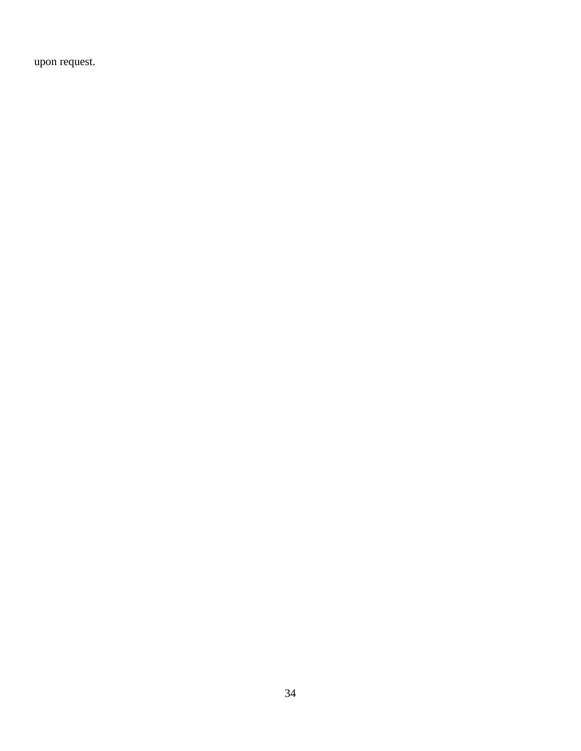upon request.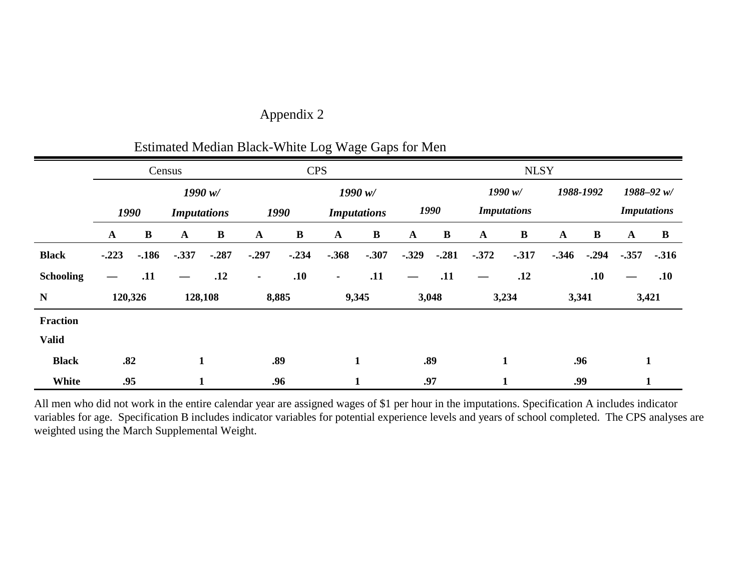| Appendix 2 |  |
|------------|--|
|            |  |

|                  |                            |          |                            |                  | ESUMated Median Diack-Willie Log Wage Oaps for Men |            |              |                    |              |             |                               |                    |              |           |              |               |
|------------------|----------------------------|----------|----------------------------|------------------|----------------------------------------------------|------------|--------------|--------------------|--------------|-------------|-------------------------------|--------------------|--------------|-----------|--------------|---------------|
|                  | Census                     |          |                            |                  |                                                    | <b>CPS</b> |              |                    |              | <b>NLSY</b> |                               |                    |              |           |              |               |
|                  |                            |          | 1990 w/                    |                  |                                                    | 1990 $w/$  |              |                    |              |             | 1990 w/                       |                    |              | 1988-1992 |              | $1988 - 92 w$ |
|                  | 1990<br><b>Imputations</b> |          | 1990<br><b>Imputations</b> |                  |                                                    | 1990       |              | <b>Imputations</b> |              |             |                               | <b>Imputations</b> |              |           |              |               |
|                  | $\mathbf{A}$               | $\bf{B}$ | $\mathbf{A}$               | $\bf{B}$         | $\mathbf{A}$                                       | $\bf{B}$   | $\mathbf{A}$ | $\bf{B}$           | $\mathbf{A}$ | $\bf{B}$    | $\mathbf{A}$                  | $\bf{B}$           | $\mathbf{A}$ | $\bf{B}$  | $\mathbf{A}$ | $\bf{B}$      |
| <b>Black</b>     | $-.223$                    | $-.186$  | $-.337$                    | $-.287$          | $-.297$                                            | $-.234$    | $-.368$      | $-.307$            | $-.329$      | $-.281$     | $-.372$                       | $-317$             | $-0.346$     | $-.294$   | $-0.357$     | $-.316$       |
| <b>Schooling</b> |                            | .11      |                            | .12              | $\blacksquare$                                     | .10        | ٠            | .11                |              | .11         | $\overbrace{\phantom{aaaaa}}$ | .12                |              | .10       |              | .10           |
| ${\bf N}$        |                            | 120,326  |                            | 128,108<br>8,885 |                                                    | 9,345      |              |                    | 3,048        |             | 3,234<br>3,341                |                    | 3,421        |           |              |               |
| <b>Fraction</b>  |                            |          |                            |                  |                                                    |            |              |                    |              |             |                               |                    |              |           |              |               |
| <b>Valid</b>     |                            |          |                            |                  |                                                    |            |              |                    |              |             |                               |                    |              |           |              |               |
| <b>Black</b>     |                            | .82      |                            | 1                | .89                                                |            |              | $\mathbf{1}$       |              | .89         |                               | $\mathbf{1}$       |              | .96       |              | 1             |
| White            | .95                        |          |                            | 1                | .96<br>$\mathbf{1}$                                |            |              | .97<br>1           |              | .99         |                               | $\mathbf{r}$       |              |           |              |               |

# Estimated Median Black-White Log Wage Gaps for Men

All men who did not work in the entire calendar year are assigned wages of \$1 per hour in the imputations. Specification A includes indicator variables for age. Specification B includes indicator variables for potential experience levels and years of school completed. The CPS analyses are weighted using the March Supplemental Weight.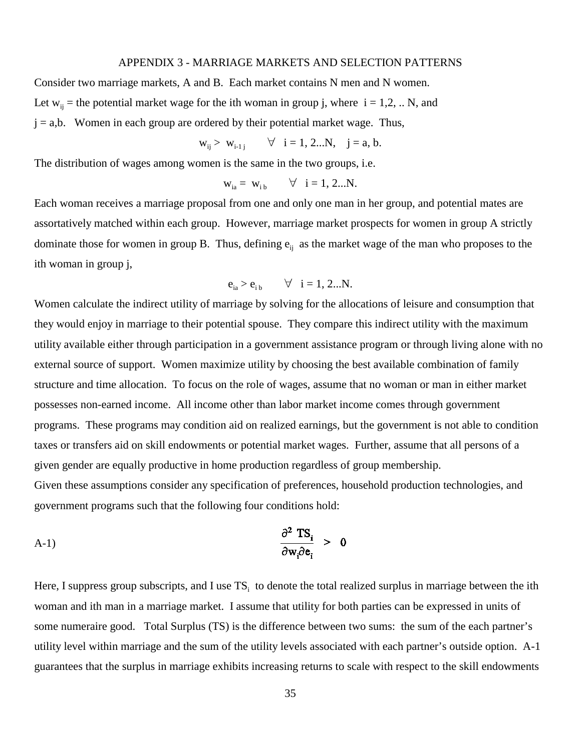#### APPENDIX 3 - MARRIAGE MARKETS AND SELECTION PATTERNS

Consider two marriage markets, A and B. Each market contains N men and N women. Let  $w_{ii}$  = the potential market wage for the ith woman in group j, where i = 1,2, .. N, and  $j = a,b$ . Women in each group are ordered by their potential market wage. Thus,

$$
w_{ij} > w_{i-1j}
$$
  $\forall$  i = 1, 2...N, j = a, b.

The distribution of wages among women is the same in the two groups, i.e.

$$
w_{ia} = w_{ib} \qquad \forall i = 1, 2...N.
$$

Each woman receives a marriage proposal from one and only one man in her group, and potential mates are assortatively matched within each group. However, marriage market prospects for women in group A strictly dominate those for women in group B. Thus, defining  $e_{ii}$  as the market wage of the man who proposes to the ith woman in group j,

$$
e_{ia} > e_{ib} \qquad \forall \quad i = 1, 2...N.
$$

Women calculate the indirect utility of marriage by solving for the allocations of leisure and consumption that they would enjoy in marriage to their potential spouse. They compare this indirect utility with the maximum utility available either through participation in a government assistance program or through living alone with no external source of support. Women maximize utility by choosing the best available combination of family structure and time allocation. To focus on the role of wages, assume that no woman or man in either market possesses non-earned income. All income other than labor market income comes through government programs. These programs may condition aid on realized earnings, but the government is not able to condition taxes or transfers aid on skill endowments or potential market wages. Further, assume that all persons of a given gender are equally productive in home production regardless of group membership. Given these assumptions consider any specification of preferences, household production technologies, and

government programs such that the following four conditions hold:

$$
\frac{\partial^2 \text{ TS}_i}{\partial \text{w}_i \partial \text{e}_i} > 0
$$

Here, I suppress group subscripts, and I use  $TS_i$  to denote the total realized surplus in marriage between the ith woman and ith man in a marriage market. I assume that utility for both parties can be expressed in units of some numeraire good. Total Surplus (TS) is the difference between two sums: the sum of the each partner's utility level within marriage and the sum of the utility levels associated with each partner's outside option. A-1 guarantees that the surplus in marriage exhibits increasing returns to scale with respect to the skill endowments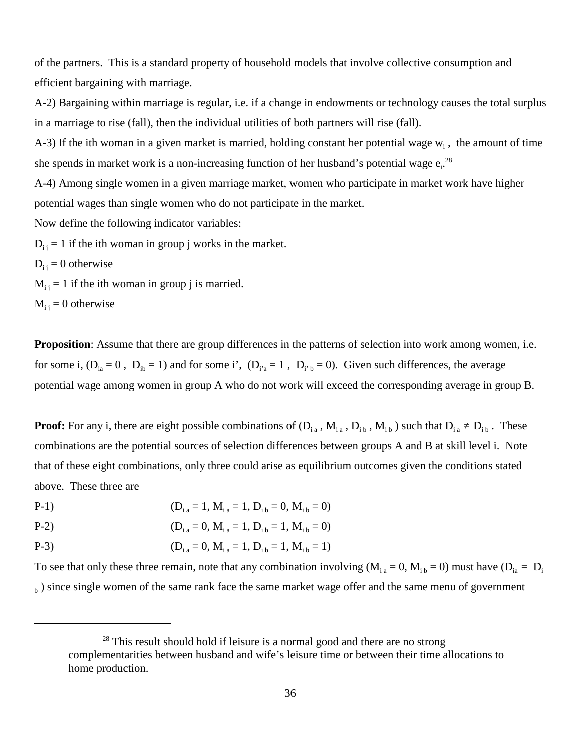of the partners. This is a standard property of household models that involve collective consumption and efficient bargaining with marriage.

A-2) Bargaining within marriage is regular, i.e. if a change in endowments or technology causes the total surplus in a marriage to rise (fall), then the individual utilities of both partners will rise (fall).

A-3) If the ith woman in a given market is married, holding constant her potential wage  $w_i$ , the amount of time she spends in market work is a non-increasing function of her husband's potential wage  $e_i$ <sup>28</sup>

A-4) Among single women in a given marriage market, women who participate in market work have higher potential wages than single women who do not participate in the market.

Now define the following indicator variables:

 $D_{ij} = 1$  if the ith woman in group j works in the market.

 $D_{i i} = 0$  otherwise

 $M_{i,j} = 1$  if the ith woman in group j is married.

 $M_{ii} = 0$  otherwise

**Proposition**: Assume that there are group differences in the patterns of selection into work among women, i.e. for some i,  $(D_{ia} = 0$ ,  $D_{ib} = 1)$  and for some i',  $(D_{i'a} = 1$ ,  $D_{i'b} = 0$ . Given such differences, the average potential wage among women in group A who do not work will exceed the corresponding average in group B.

**Proof:** For any i, there are eight possible combinations of  $(D_{i_1}, M_{i_2}, D_{i_3}, M_{i_4})$  such that  $D_{i_1} \neq D_{i_1}$ . These combinations are the potential sources of selection differences between groups A and B at skill level i. Note that of these eight combinations, only three could arise as equilibrium outcomes given the conditions stated above. These three are

$$
(D_{i a} = 1, M_{i a} = 1, D_{i b} = 0, M_{i b} = 0)
$$

$$
P-2) \t\t (D_{i a} = 0, M_{i a} = 1, D_{i b} = 1, M_{i b} = 0)
$$

P-3) 
$$
(D_{i a} = 0, M_{i a} = 1, D_{i b} = 1, M_{i b} = 1)
$$

To see that only these three remain, note that any combination involving  $(M<sub>i a</sub> = 0, M<sub>i b</sub> = 0)$  must have  $(D<sub>i a</sub> = D<sub>i</sub>$  $_{\rm h}$ ) since single women of the same rank face the same market wage offer and the same menu of government

 $28$  This result should hold if leisure is a normal good and there are no strong complementarities between husband and wife's leisure time or between their time allocations to home production.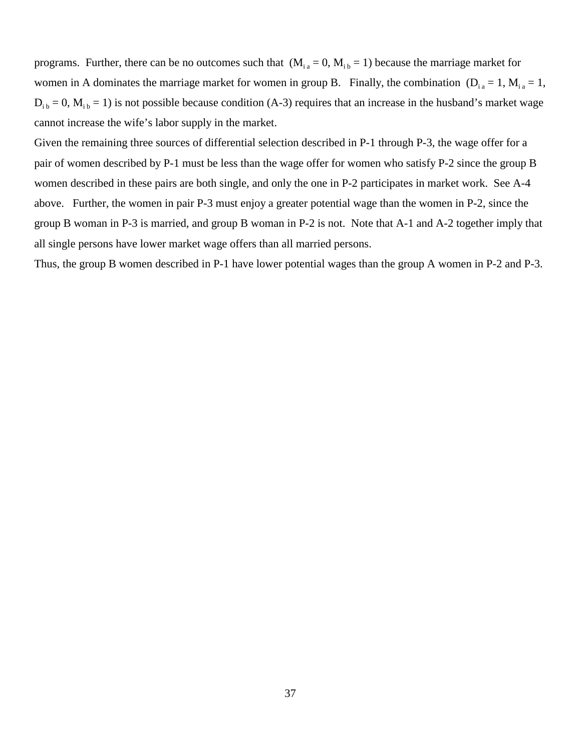programs. Further, there can be no outcomes such that  $(M<sub>i a</sub> = 0, M<sub>i b</sub> = 1)$  because the marriage market for women in A dominates the marriage market for women in group B. Finally, the combination  $(D_{i} = 1, M_{i} = 1,$  $D_{i b} = 0$ ,  $M_{i b} = 1$ ) is not possible because condition (A-3) requires that an increase in the husband's market wage cannot increase the wife's labor supply in the market.

Given the remaining three sources of differential selection described in P-1 through P-3, the wage offer for a pair of women described by P-1 must be less than the wage offer for women who satisfy P-2 since the group B women described in these pairs are both single, and only the one in P-2 participates in market work. See A-4 above. Further, the women in pair P-3 must enjoy a greater potential wage than the women in P-2, since the group B woman in P-3 is married, and group B woman in P-2 is not. Note that A-1 and A-2 together imply that all single persons have lower market wage offers than all married persons.

Thus, the group B women described in P-1 have lower potential wages than the group A women in P-2 and P-3.